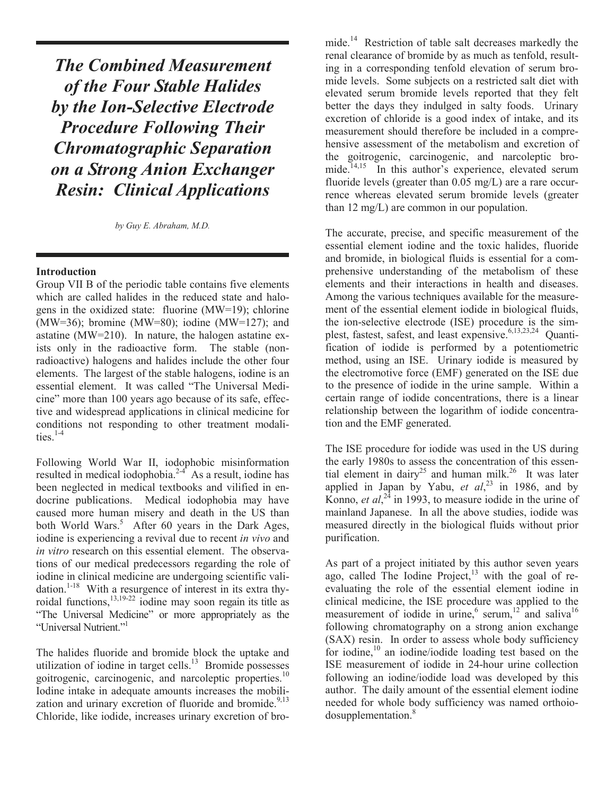*The Combined Measurement of the Four Stable Halides by the Ion-Selective Electrode Procedure Following Their Chromatographic Separation on a Strong Anion Exchanger Resin: Clinical Applications* 

*by Guy E. Abraham, M.D.* 

#### **Introduction**

Group VII B of the periodic table contains five elements which are called halides in the reduced state and halogens in the oxidized state: fluorine (MW=19); chlorine (MW=36); bromine (MW=80); iodine (MW=127); and astatine (MW=210). In nature, the halogen astatine exists only in the radioactive form. The stable (nonradioactive) halogens and halides include the other four elements. The largest of the stable halogens, iodine is an essential element. It was called "The Universal Medicine" more than 100 years ago because of its safe, effective and widespread applications in clinical medicine for conditions not responding to other treatment modalities. $1-4$ 

Following World War II, iodophobic misinformation resulted in medical iodophobia. $2-4$  As a result, iodine has been neglected in medical textbooks and vilified in endocrine publications. Medical iodophobia may have caused more human misery and death in the US than both World Wars.<sup>5</sup> After 60 years in the Dark Ages, iodine is experiencing a revival due to recent *in vivo* and *in vitro* research on this essential element. The observations of our medical predecessors regarding the role of iodine in clinical medicine are undergoing scientific validation.<sup>1-18</sup> With a resurgence of interest in its extra thyroidal functions,  $13,19-22$  iodine may soon regain its title as "The Universal Medicine" or more appropriately as the "Universal Nutrient."1

The halides fluoride and bromide block the uptake and utilization of iodine in target cells.<sup>13</sup> Bromide possesses goitrogenic, carcinogenic, and narcoleptic properties.10 Iodine intake in adequate amounts increases the mobilization and urinary excretion of fluoride and bromide. $9,13$ Chloride, like iodide, increases urinary excretion of bromide.14 Restriction of table salt decreases markedly the renal clearance of bromide by as much as tenfold, resulting in a corresponding tenfold elevation of serum bromide levels. Some subjects on a restricted salt diet with elevated serum bromide levels reported that they felt better the days they indulged in salty foods. Urinary excretion of chloride is a good index of intake, and its measurement should therefore be included in a comprehensive assessment of the metabolism and excretion of the goitrogenic, carcinogenic, and narcoleptic bromide.<sup>14,15</sup> In this author's experience, elevated serum fluoride levels (greater than 0.05 mg/L) are a rare occurrence whereas elevated serum bromide levels (greater than 12 mg/L) are common in our population.

The accurate, precise, and specific measurement of the essential element iodine and the toxic halides, fluoride and bromide, in biological fluids is essential for a comprehensive understanding of the metabolism of these elements and their interactions in health and diseases. Among the various techniques available for the measurement of the essential element iodide in biological fluids, the ion-selective electrode (ISE) procedure is the simplest, fastest, safest, and least expensive.<sup>6,13,23,24</sup> Quantification of iodide is performed by a potentiometric method, using an ISE. Urinary iodide is measured by the electromotive force (EMF) generated on the ISE due to the presence of iodide in the urine sample. Within a certain range of iodide concentrations, there is a linear relationship between the logarithm of iodide concentration and the EMF generated.

The ISE procedure for iodide was used in the US during the early 1980s to assess the concentration of this essential element in dairy<sup>25</sup> and human milk.<sup>26</sup> It was later applied in Japan by Yabu, *et al*, 23 in 1986, and by Konno, *et al*, $^{24}$  in 1993, to measure iodide in the urine of mainland Japanese. In all the above studies, iodide was measured directly in the biological fluids without prior purification.

As part of a project initiated by this author seven years ago, called The Iodine Project, $13$  with the goal of reevaluating the role of the essential element iodine in clinical medicine, the ISE procedure was applied to the measurement of iodide in urine,<sup>6</sup> serum,<sup>12</sup> and saliva<sup>16</sup> following chromatography on a strong anion exchange (SAX) resin. In order to assess whole body sufficiency for iodine,10 an iodine/iodide loading test based on the ISE measurement of iodide in 24-hour urine collection following an iodine/iodide load was developed by this author. The daily amount of the essential element iodine needed for whole body sufficiency was named orthoiodosupplementation.<sup>8</sup>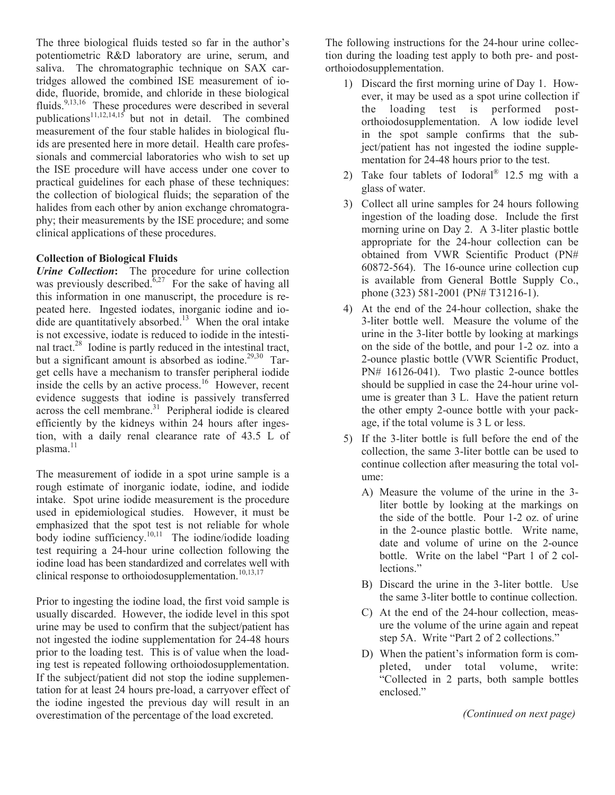The three biological fluids tested so far in the author's potentiometric R&D laboratory are urine, serum, and saliva. The chromatographic technique on SAX cartridges allowed the combined ISE measurement of iodide, fluoride, bromide, and chloride in these biological fluids.<sup>9,13,16</sup> These procedures were described in several publications<sup>11,12,14,15</sup> but not in detail. The combined measurement of the four stable halides in biological fluids are presented here in more detail. Health care professionals and commercial laboratories who wish to set up the ISE procedure will have access under one cover to practical guidelines for each phase of these techniques: the collection of biological fluids; the separation of the halides from each other by anion exchange chromatography; their measurements by the ISE procedure; and some clinical applications of these procedures.

#### **Collection of Biological Fluids**

*Urine Collection***:** The procedure for urine collection was previously described.<sup> $6,27$ </sup> For the sake of having all this information in one manuscript, the procedure is repeated here. Ingested iodates, inorganic iodine and iodide are quantitatively absorbed.<sup>13</sup> When the oral intake is not excessive, iodate is reduced to iodide in the intestinal tract.<sup>28</sup> Iodine is partly reduced in the intestinal tract, but a significant amount is absorbed as iodine.<sup>29,30</sup> Target cells have a mechanism to transfer peripheral iodide inside the cells by an active process.<sup>16</sup> However, recent evidence suggests that iodine is passively transferred across the cell membrane. $31$  Peripheral iodide is cleared efficiently by the kidneys within 24 hours after ingestion, with a daily renal clearance rate of 43.5 L of plasma.<sup>11</sup>

The measurement of iodide in a spot urine sample is a rough estimate of inorganic iodate, iodine, and iodide intake. Spot urine iodide measurement is the procedure used in epidemiological studies. However, it must be emphasized that the spot test is not reliable for whole body iodine sufficiency. $10,11$  The iodine/iodide loading test requiring a 24-hour urine collection following the iodine load has been standardized and correlates well with clinical response to orthoiodosupplementation.<sup>10,13,17</sup>

Prior to ingesting the iodine load, the first void sample is usually discarded. However, the iodide level in this spot urine may be used to confirm that the subject/patient has not ingested the iodine supplementation for 24-48 hours prior to the loading test. This is of value when the loading test is repeated following orthoiodosupplementation. If the subject/patient did not stop the iodine supplementation for at least 24 hours pre-load, a carryover effect of the iodine ingested the previous day will result in an overestimation of the percentage of the load excreted.

The following instructions for the 24-hour urine collection during the loading test apply to both pre- and postorthoiodosupplementation.

- 1) Discard the first morning urine of Day 1. However, it may be used as a spot urine collection if the loading test is performed postorthoiodosupplementation. A low iodide level in the spot sample confirms that the subject/patient has not ingested the iodine supplementation for 24-48 hours prior to the test.
- 2) Take four tablets of Iodoral® 12.5 mg with a glass of water.
- 3) Collect all urine samples for 24 hours following ingestion of the loading dose. Include the first morning urine on Day 2. A 3-liter plastic bottle appropriate for the 24-hour collection can be obtained from VWR Scientific Product (PN# 60872-564). The 16-ounce urine collection cup is available from General Bottle Supply Co., phone (323) 581-2001 (PN# T31216-1).
- 4) At the end of the 24-hour collection, shake the 3-liter bottle well. Measure the volume of the urine in the 3-liter bottle by looking at markings on the side of the bottle, and pour 1-2 oz. into a 2-ounce plastic bottle (VWR Scientific Product, PN# 16126-041). Two plastic 2-ounce bottles should be supplied in case the 24-hour urine volume is greater than 3 L. Have the patient return the other empty 2-ounce bottle with your package, if the total volume is 3 L or less.
- 5) If the 3-liter bottle is full before the end of the collection, the same 3-liter bottle can be used to continue collection after measuring the total volume:
	- A) Measure the volume of the urine in the 3 liter bottle by looking at the markings on the side of the bottle. Pour 1-2 oz. of urine in the 2-ounce plastic bottle. Write name, date and volume of urine on the 2-ounce bottle. Write on the label "Part 1 of 2 collections."
	- B) Discard the urine in the 3-liter bottle. Use the same 3-liter bottle to continue collection.
	- C) At the end of the 24-hour collection, measure the volume of the urine again and repeat step 5A. Write "Part 2 of 2 collections."
	- D) When the patient's information form is completed, under total volume, write: "Collected in 2 parts, both sample bottles enclosed."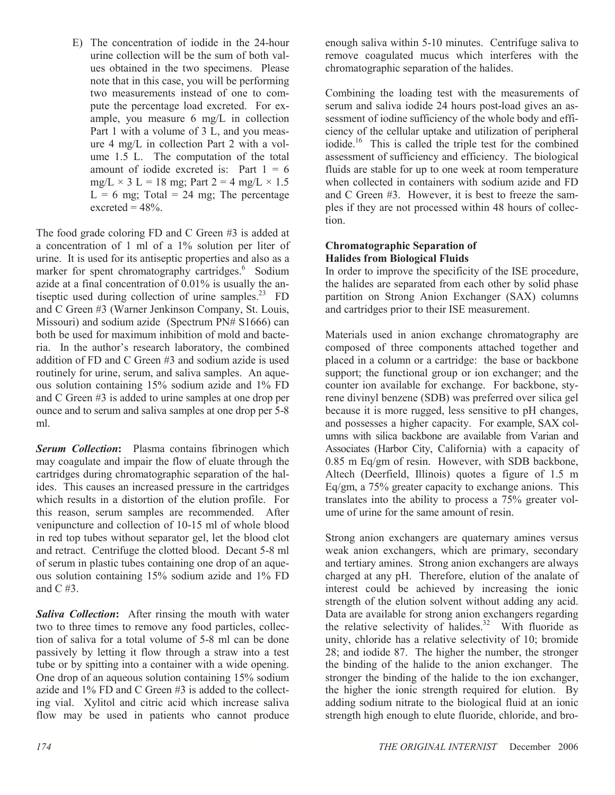E) The concentration of iodide in the 24-hour urine collection will be the sum of both values obtained in the two specimens. Please note that in this case, you will be performing two measurements instead of one to compute the percentage load excreted. For example, you measure 6 mg/L in collection Part 1 with a volume of 3 L, and you measure 4 mg/L in collection Part 2 with a volume 1.5 L. The computation of the total amount of iodide excreted is: Part  $1 = 6$ mg/L  $\times$  3 L = 18 mg; Part 2 = 4 mg/L  $\times$  1.5  $L = 6$  mg; Total = 24 mg; The percentage excreted  $= 48\%$ .

The food grade coloring FD and C Green #3 is added at a concentration of 1 ml of a 1% solution per liter of urine. It is used for its antiseptic properties and also as a marker for spent chromatography cartridges.<sup>6</sup> Sodium azide at a final concentration of 0.01% is usually the antiseptic used during collection of urine samples.<sup>23</sup> FD and C Green #3 (Warner Jenkinson Company, St. Louis, Missouri) and sodium azide (Spectrum PN# S1666) can both be used for maximum inhibition of mold and bacteria. In the author's research laboratory, the combined addition of FD and C Green #3 and sodium azide is used routinely for urine, serum, and saliva samples. An aqueous solution containing 15% sodium azide and 1% FD and C Green #3 is added to urine samples at one drop per ounce and to serum and saliva samples at one drop per 5-8 ml.

*Serum Collection***:** Plasma contains fibrinogen which may coagulate and impair the flow of eluate through the cartridges during chromatographic separation of the halides. This causes an increased pressure in the cartridges which results in a distortion of the elution profile. For this reason, serum samples are recommended. After venipuncture and collection of 10-15 ml of whole blood in red top tubes without separator gel, let the blood clot and retract. Centrifuge the clotted blood. Decant 5-8 ml of serum in plastic tubes containing one drop of an aqueous solution containing 15% sodium azide and 1% FD and  $C \#3$ .

*Saliva Collection***:** After rinsing the mouth with water two to three times to remove any food particles, collection of saliva for a total volume of 5-8 ml can be done passively by letting it flow through a straw into a test tube or by spitting into a container with a wide opening. One drop of an aqueous solution containing 15% sodium azide and 1% FD and C Green #3 is added to the collecting vial. Xylitol and citric acid which increase saliva flow may be used in patients who cannot produce

enough saliva within 5-10 minutes. Centrifuge saliva to remove coagulated mucus which interferes with the chromatographic separation of the halides.

Combining the loading test with the measurements of serum and saliva iodide 24 hours post-load gives an assessment of iodine sufficiency of the whole body and efficiency of the cellular uptake and utilization of peripheral iodide.<sup>16</sup> This is called the triple test for the combined assessment of sufficiency and efficiency. The biological fluids are stable for up to one week at room temperature when collected in containers with sodium azide and FD and C Green #3. However, it is best to freeze the samples if they are not processed within 48 hours of collection.

## **Chromatographic Separation of Halides from Biological Fluids**

In order to improve the specificity of the ISE procedure, the halides are separated from each other by solid phase partition on Strong Anion Exchanger (SAX) columns and cartridges prior to their ISE measurement.

Materials used in anion exchange chromatography are composed of three components attached together and placed in a column or a cartridge: the base or backbone support; the functional group or ion exchanger; and the counter ion available for exchange. For backbone, styrene divinyl benzene (SDB) was preferred over silica gel because it is more rugged, less sensitive to pH changes, and possesses a higher capacity. For example, SAX columns with silica backbone are available from Varian and Associates (Harbor City, California) with a capacity of 0.85 m Eq/gm of resin. However, with SDB backbone, Altech (Deerfield, Illinois) quotes a figure of 1.5 m Eq/gm, a 75% greater capacity to exchange anions. This translates into the ability to process a 75% greater volume of urine for the same amount of resin.

Strong anion exchangers are quaternary amines versus weak anion exchangers, which are primary, secondary and tertiary amines. Strong anion exchangers are always charged at any pH. Therefore, elution of the analate of interest could be achieved by increasing the ionic strength of the elution solvent without adding any acid. Data are available for strong anion exchangers regarding the relative selectivity of halides.<sup>32</sup> With fluoride as unity, chloride has a relative selectivity of 10; bromide 28; and iodide 87. The higher the number, the stronger the binding of the halide to the anion exchanger. The stronger the binding of the halide to the ion exchanger, the higher the ionic strength required for elution. By adding sodium nitrate to the biological fluid at an ionic strength high enough to elute fluoride, chloride, and bro-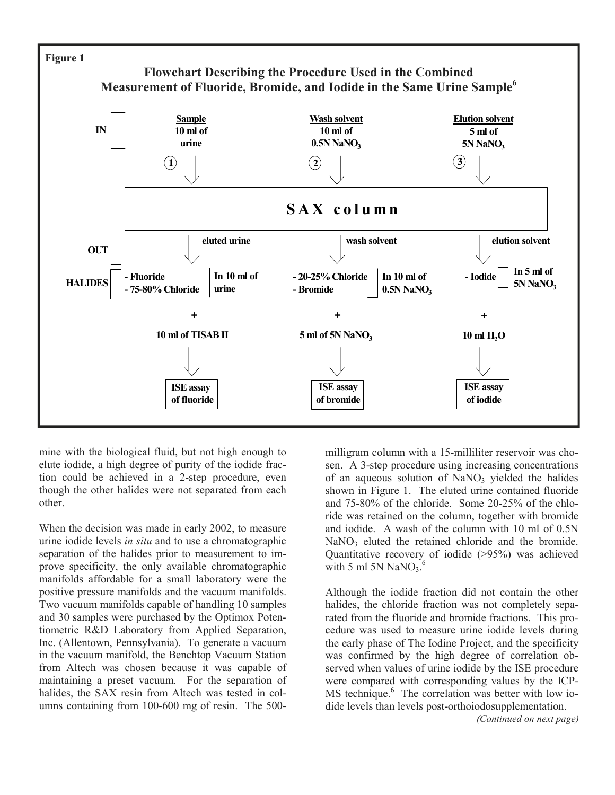

mine with the biological fluid, but not high enough to elute iodide, a high degree of purity of the iodide fraction could be achieved in a 2-step procedure, even though the other halides were not separated from each other.

When the decision was made in early 2002, to measure urine iodide levels *in situ* and to use a chromatographic separation of the halides prior to measurement to improve specificity, the only available chromatographic manifolds affordable for a small laboratory were the positive pressure manifolds and the vacuum manifolds. Two vacuum manifolds capable of handling 10 samples and 30 samples were purchased by the Optimox Potentiometric R&D Laboratory from Applied Separation, Inc. (Allentown, Pennsylvania). To generate a vacuum in the vacuum manifold, the Benchtop Vacuum Station from Altech was chosen because it was capable of maintaining a preset vacuum. For the separation of halides, the SAX resin from Altech was tested in columns containing from 100-600 mg of resin. The 500-

milligram column with a 15-milliliter reservoir was chosen. A 3-step procedure using increasing concentrations of an aqueous solution of  $NaNO<sub>3</sub>$  yielded the halides shown in Figure 1. The eluted urine contained fluoride and 75-80% of the chloride. Some 20-25% of the chloride was retained on the column, together with bromide and iodide. A wash of the column with 10 ml of 0.5N  $NaNO<sub>3</sub>$  eluted the retained chloride and the bromide. Quantitative recovery of iodide (>95%) was achieved with 5 ml 5N NaNO<sub>3</sub>.<sup>6</sup>

Although the iodide fraction did not contain the other halides, the chloride fraction was not completely separated from the fluoride and bromide fractions. This procedure was used to measure urine iodide levels during the early phase of The Iodine Project, and the specificity was confirmed by the high degree of correlation observed when values of urine iodide by the ISE procedure were compared with corresponding values by the ICP-MS technique.<sup>6</sup> The correlation was better with low iodide levels than levels post-orthoiodosupplementation.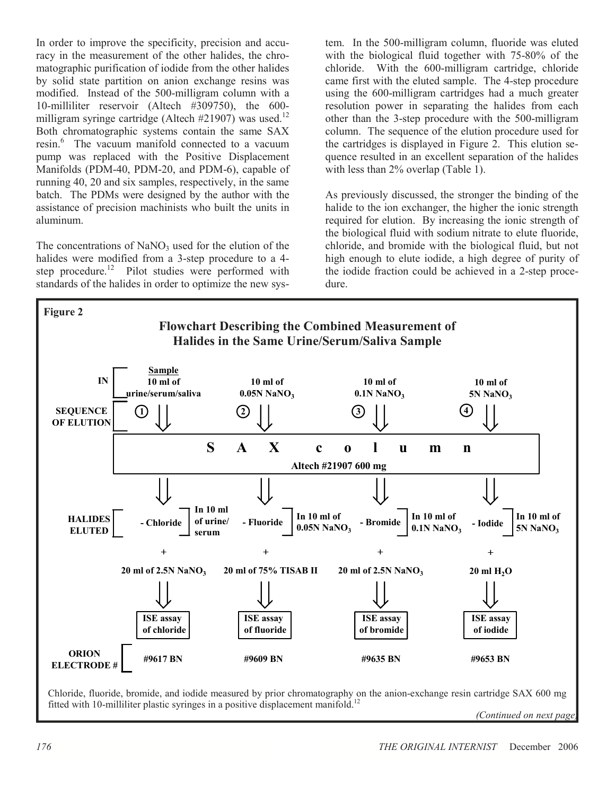In order to improve the specificity, precision and accuracy in the measurement of the other halides, the chromatographic purification of iodide from the other halides by solid state partition on anion exchange resins was modified. Instead of the 500-milligram column with a 10-milliliter reservoir (Altech #309750), the 600 milligram syringe cartridge (Altech  $\#21907$ ) was used.<sup>12</sup> Both chromatographic systems contain the same SAX resin.<sup>6</sup> The vacuum manifold connected to a vacuum pump was replaced with the Positive Displacement Manifolds (PDM-40, PDM-20, and PDM-6), capable of running 40, 20 and six samples, respectively, in the same batch. The PDMs were designed by the author with the assistance of precision machinists who built the units in aluminum.

The concentrations of  $\text{NaNO}_3$  used for the elution of the halides were modified from a 3-step procedure to a 4 step procedure.<sup>12</sup> Pilot studies were performed with standards of the halides in order to optimize the new system. In the 500-milligram column, fluoride was eluted with the biological fluid together with 75-80% of the chloride. With the 600-milligram cartridge, chloride came first with the eluted sample. The 4-step procedure using the 600-milligram cartridges had a much greater resolution power in separating the halides from each other than the 3-step procedure with the 500-milligram column. The sequence of the elution procedure used for the cartridges is displayed in Figure 2. This elution sequence resulted in an excellent separation of the halides with less than 2% overlap (Table 1).

As previously discussed, the stronger the binding of the halide to the ion exchanger, the higher the ionic strength required for elution. By increasing the ionic strength of the biological fluid with sodium nitrate to elute fluoride, chloride, and bromide with the biological fluid, but not high enough to elute iodide, a high degree of purity of the iodide fraction could be achieved in a 2-step procedure.



Chloride, fluoride, bromide, and iodide measured by prior chromatography on the anion-exchange resin cartridge SAX 600 mg fitted with 10-milliliter plastic syringes in a positive displacement manifold.<sup>12</sup>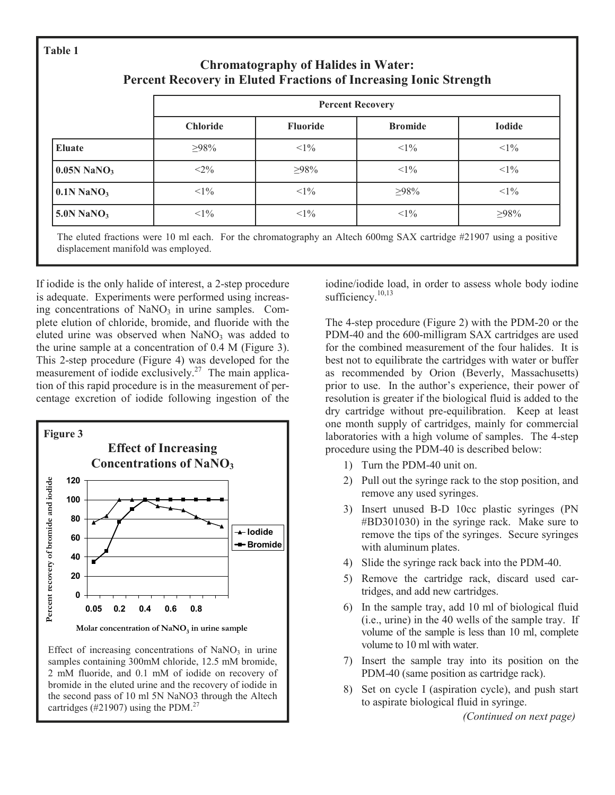## **Chromatography of Halides in Water: Percent Recovery in Eluted Fractions of Increasing Ionic Strength**

|                           | <b>Percent Recovery</b> |                 |                |               |  |
|---------------------------|-------------------------|-----------------|----------------|---------------|--|
|                           | <b>Chloride</b>         | <b>Fluoride</b> | <b>Bromide</b> | <b>Iodide</b> |  |
| <b>Eluate</b>             | >98%                    | $<1\%$          | $<1\%$         | $<1\%$        |  |
| $0.05N$ NaNO <sub>3</sub> | $<$ 2%                  | >98%            | $<1\%$         | $<1\%$        |  |
| $0.1N$ NaNO <sub>3</sub>  | $<1\%$                  | $<1\%$          | >98%           | $<1\%$        |  |
| $5.0N$ NaNO <sub>3</sub>  | $<1\%$                  | $<1\%$          | $<1\%$         | $\geq$ 98%    |  |

The eluted fractions were 10 ml each. For the chromatography an Altech 600mg SAX cartridge #21907 using a positive displacement manifold was employed.

If iodide is the only halide of interest, a 2-step procedure is adequate. Experiments were performed using increasing concentrations of  $NaNO<sub>3</sub>$  in urine samples. Complete elution of chloride, bromide, and fluoride with the eluted urine was observed when  $NaNO<sub>3</sub>$  was added to the urine sample at a concentration of 0.4 M (Figure 3). This 2-step procedure (Figure 4) was developed for the measurement of iodide exclusively.<sup>27</sup> The main application of this rapid procedure is in the measurement of percentage excretion of iodide following ingestion of the



Effect of increasing concentrations of  $NaNO<sub>3</sub>$  in urine samples containing 300mM chloride, 12.5 mM bromide, 2 mM fluoride, and 0.1 mM of iodide on recovery of bromide in the eluted urine and the recovery of iodide in the second pass of 10 ml 5N NaNO3 through the Altech cartridges (#21907) using the PDM. $^{27}$ 

iodine/iodide load, in order to assess whole body iodine sufficiency. $10,13$ 

The 4-step procedure (Figure 2) with the PDM-20 or the PDM-40 and the 600-milligram SAX cartridges are used for the combined measurement of the four halides. It is best not to equilibrate the cartridges with water or buffer as recommended by Orion (Beverly, Massachusetts) prior to use. In the author's experience, their power of resolution is greater if the biological fluid is added to the dry cartridge without pre-equilibration. Keep at least one month supply of cartridges, mainly for commercial laboratories with a high volume of samples. The 4-step procedure using the PDM-40 is described below:

- 1) Turn the PDM-40 unit on.
- 2) Pull out the syringe rack to the stop position, and remove any used syringes.
- 3) Insert unused B-D 10cc plastic syringes (PN #BD301030) in the syringe rack. Make sure to remove the tips of the syringes. Secure syringes with aluminum plates.
- 4) Slide the syringe rack back into the PDM-40.
- 5) Remove the cartridge rack, discard used cartridges, and add new cartridges.
- 6) In the sample tray, add 10 ml of biological fluid (i.e., urine) in the 40 wells of the sample tray. If volume of the sample is less than 10 ml, complete volume to 10 ml with water.
- 7) Insert the sample tray into its position on the PDM-40 (same position as cartridge rack).
- 8) Set on cycle I (aspiration cycle), and push start to aspirate biological fluid in syringe.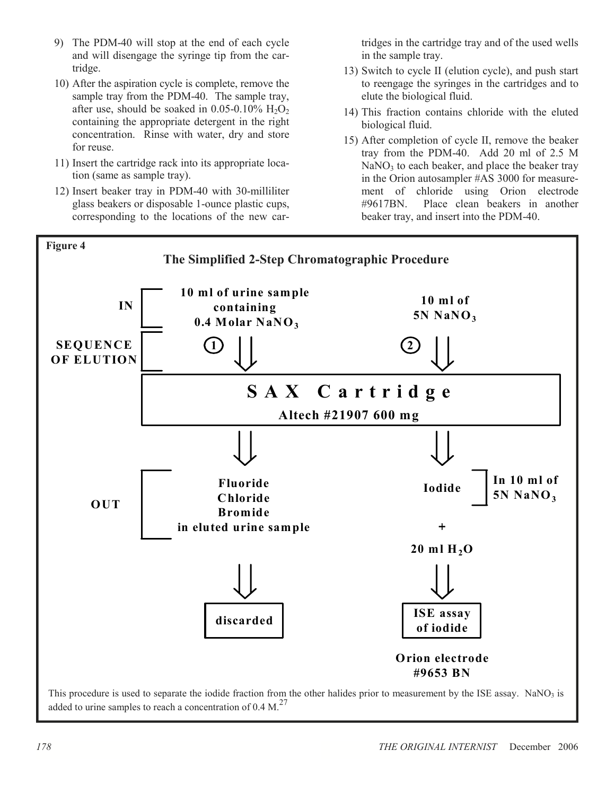- 9) The PDM-40 will stop at the end of each cycle and will disengage the syringe tip from the cartridge.
- 10) After the aspiration cycle is complete, remove the sample tray from the PDM-40. The sample tray, after use, should be soaked in 0.05-0.10%  $H_2O_2$ containing the appropriate detergent in the right concentration. Rinse with water, dry and store for reuse.
- 11) Insert the cartridge rack into its appropriate location (same as sample tray).
- 12) Insert beaker tray in PDM-40 with 30-milliliter glass beakers or disposable 1-ounce plastic cups, corresponding to the locations of the new car-

tridges in the cartridge tray and of the used wells in the sample tray.

- 13) Switch to cycle II (elution cycle), and push start to reengage the syringes in the cartridges and to elute the biological fluid.
- 14) This fraction contains chloride with the eluted biological fluid.
- 15) After completion of cycle II, remove the beaker tray from the PDM-40. Add 20 ml of 2.5 M  $NaNO<sub>3</sub>$  to each beaker, and place the beaker tray in the Orion autosampler #AS 3000 for measurement of chloride using Orion electrode #9617BN. Place clean beakers in another beaker tray, and insert into the PDM-40.

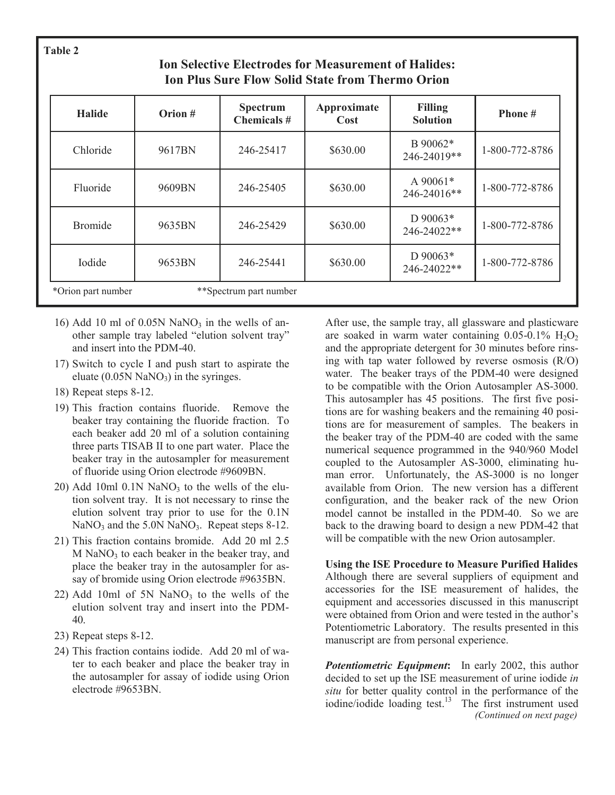## **Ion Selective Electrodes for Measurement of Halides: Ion Plus Sure Flow Solid State from Thermo Orion**

| <b>Halide</b>      | Orion $#$              | <b>Spectrum</b><br>Chemicals # | Approximate<br><b>Cost</b> | <b>Filling</b><br><b>Solution</b> | <b>Phone</b> # |
|--------------------|------------------------|--------------------------------|----------------------------|-----------------------------------|----------------|
| Chloride           | 9617BN                 | 246-25417                      | \$630.00                   | B 90062*<br>246-24019**           | 1-800-772-8786 |
| Fluoride           | 9609BN                 | 246-25405                      | \$630.00                   | A 90061*<br>246-24016**           | 1-800-772-8786 |
| <b>Bromide</b>     | 9635BN                 | 246-25429                      | \$630.00                   | D 90063*<br>246-24022**           | 1-800-772-8786 |
| Iodide             | 9653BN                 | 246-25441                      | \$630.00                   | D 90063 $*$<br>246-24022**        | 1-800-772-8786 |
| *Orion part number | **Spectrum part number |                                |                            |                                   |                |

- 16) Add 10 ml of  $0.05N$  NaNO<sub>3</sub> in the wells of another sample tray labeled "elution solvent tray" and insert into the PDM-40.
- 17) Switch to cycle I and push start to aspirate the eluate  $(0.05N \text{ Na}N\text{O}_3)$  in the syringes.
- 18) Repeat steps 8-12.
- 19) This fraction contains fluoride. Remove the beaker tray containing the fluoride fraction. To each beaker add 20 ml of a solution containing three parts TISAB II to one part water. Place the beaker tray in the autosampler for measurement of fluoride using Orion electrode #9609BN.
- 20) Add 10ml  $0.1N$  NaNO<sub>3</sub> to the wells of the elution solvent tray. It is not necessary to rinse the elution solvent tray prior to use for the 0.1N  $NaNO<sub>3</sub>$  and the 5.0N NaNO<sub>3</sub>. Repeat steps 8-12.
- 21) This fraction contains bromide. Add 20 ml 2.5  $M$  NaNO<sub>3</sub> to each beaker in the beaker tray, and place the beaker tray in the autosampler for assay of bromide using Orion electrode #9635BN.
- 22) Add 10ml of 5N  $NaNO<sub>3</sub>$  to the wells of the elution solvent tray and insert into the PDM-40.
- 23) Repeat steps 8-12.
- 24) This fraction contains iodide. Add 20 ml of water to each beaker and place the beaker tray in the autosampler for assay of iodide using Orion electrode #9653BN.

After use, the sample tray, all glassware and plasticware are soaked in warm water containing  $0.05$ -0.1%  $H<sub>2</sub>O<sub>2</sub>$ and the appropriate detergent for 30 minutes before rinsing with tap water followed by reverse osmosis (R/O) water. The beaker trays of the PDM-40 were designed to be compatible with the Orion Autosampler AS-3000. This autosampler has 45 positions. The first five positions are for washing beakers and the remaining 40 positions are for measurement of samples. The beakers in the beaker tray of the PDM-40 are coded with the same numerical sequence programmed in the 940/960 Model coupled to the Autosampler AS-3000, eliminating human error. Unfortunately, the AS-3000 is no longer available from Orion. The new version has a different configuration, and the beaker rack of the new Orion model cannot be installed in the PDM-40. So we are back to the drawing board to design a new PDM-42 that will be compatible with the new Orion autosampler.

**Using the ISE Procedure to Measure Purified Halides** Although there are several suppliers of equipment and accessories for the ISE measurement of halides, the equipment and accessories discussed in this manuscript were obtained from Orion and were tested in the author's Potentiometric Laboratory. The results presented in this manuscript are from personal experience.

*(Continued on next page) Potentiometric Equipment***:** In early 2002, this author decided to set up the ISE measurement of urine iodide *in situ* for better quality control in the performance of the iodine/iodide loading test. $13$  The first instrument used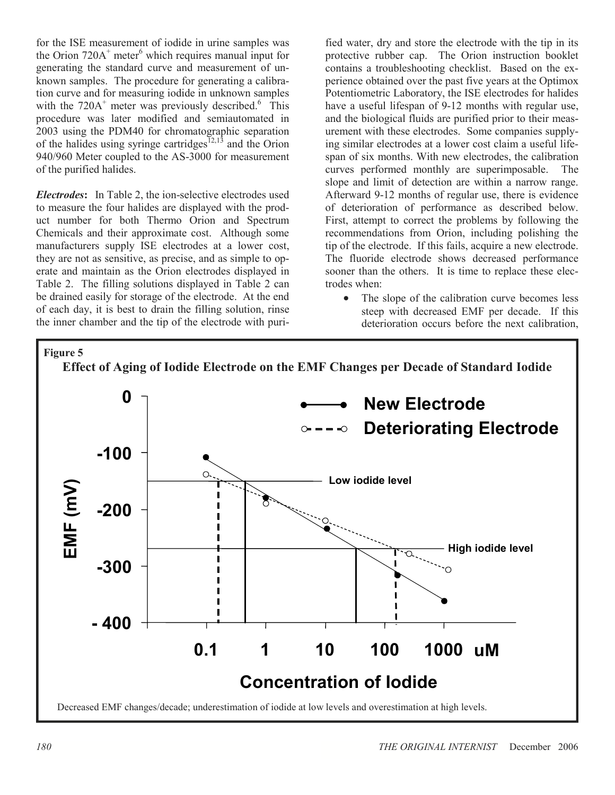for the ISE measurement of iodide in urine samples was the Orion  $720A<sup>+</sup>$  meter<sup>6</sup> which requires manual input for generating the standard curve and measurement of unknown samples. The procedure for generating a calibration curve and for measuring iodide in unknown samples with the  $720A^+$  meter was previously described.<sup>6</sup> This procedure was later modified and semiautomated in 2003 using the PDM40 for chromatographic separation of the halides using syringe cartridges<sup>12,13</sup> and the Orion 940/960 Meter coupled to the AS-3000 for measurement of the purified halides.

*Electrodes***:** In Table 2, the ion-selective electrodes used to measure the four halides are displayed with the product number for both Thermo Orion and Spectrum Chemicals and their approximate cost. Although some manufacturers supply ISE electrodes at a lower cost, they are not as sensitive, as precise, and as simple to operate and maintain as the Orion electrodes displayed in Table 2. The filling solutions displayed in Table 2 can be drained easily for storage of the electrode. At the end of each day, it is best to drain the filling solution, rinse the inner chamber and the tip of the electrode with purified water, dry and store the electrode with the tip in its protective rubber cap. The Orion instruction booklet contains a troubleshooting checklist. Based on the experience obtained over the past five years at the Optimox Potentiometric Laboratory, the ISE electrodes for halides have a useful lifespan of 9-12 months with regular use, and the biological fluids are purified prior to their measurement with these electrodes. Some companies supplying similar electrodes at a lower cost claim a useful lifespan of six months. With new electrodes, the calibration curves performed monthly are superimposable. The slope and limit of detection are within a narrow range. Afterward 9-12 months of regular use, there is evidence of deterioration of performance as described below. First, attempt to correct the problems by following the recommendations from Orion, including polishing the tip of the electrode. If this fails, acquire a new electrode. The fluoride electrode shows decreased performance sooner than the others. It is time to replace these electrodes when:

• The slope of the calibration curve becomes less steep with decreased EMF per decade. If this deterioration occurs before the next calibration,

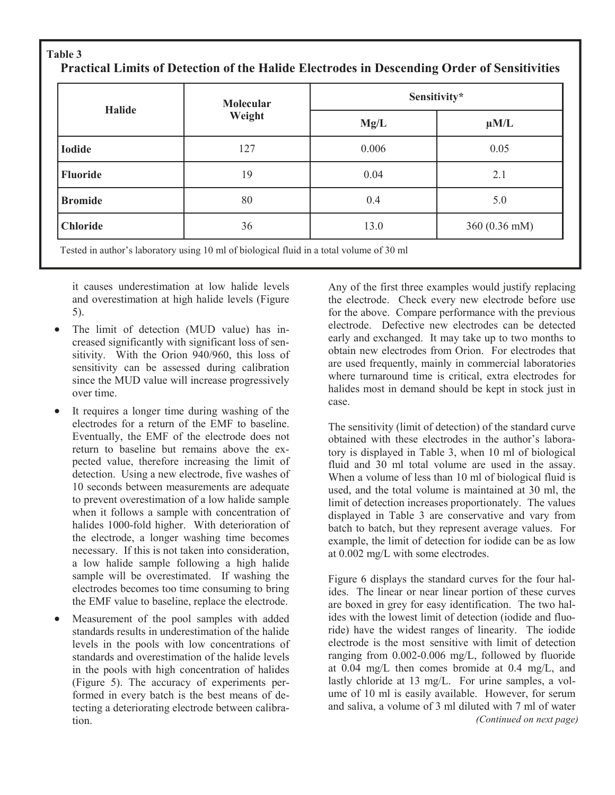|       | Sensitivity*                                                                             |  |  |
|-------|------------------------------------------------------------------------------------------|--|--|
| Mg/L  | $\mu$ M/L                                                                                |  |  |
| 0.006 | 0.05                                                                                     |  |  |
| 0.04  | 2.1                                                                                      |  |  |
| 0.4   | 5.0                                                                                      |  |  |
| 13.0  | $360 (0.36 \text{ mM})$                                                                  |  |  |
|       | Tested in author's laboratory using 10 ml of biological fluid in a total volume of 30 ml |  |  |

it causes underestimation at low halide levels and overestimation at high halide levels (Figure 5).

- The limit of detection (MUD value) has increased significantly with significant loss of sensitivity. With the Orion 940/960, this loss of sensitivity can be assessed during calibration since the MUD value will increase progressively over time.
- It requires a longer time during washing of the electrodes for a return of the EMF to baseline. Eventually, the EMF of the electrode does not return to baseline but remains above the expected value, therefore increasing the limit of detection. Using a new electrode, five washes of 10 seconds between measurements are adequate to prevent overestimation of a low halide sample when it follows a sample with concentration of halides 1000-fold higher. With deterioration of the electrode, a longer washing time becomes necessary. If this is not taken into consideration, a low halide sample following a high halide sample will be overestimated. If washing the electrodes becomes too time consuming to bring the EMF value to baseline, replace the electrode.
- Measurement of the pool samples with added standards results in underestimation of the halide levels in the pools with low concentrations of standards and overestimation of the halide levels in the pools with high concentration of halides (Figure 5). The accuracy of experiments performed in every batch is the best means of detecting a deteriorating electrode between calibration.

Any of the first three examples would justify replacing the electrode. Check every new electrode before use for the above. Compare performance with the previous electrode. Defective new electrodes can be detected early and exchanged. It may take up to two months to obtain new electrodes from Orion. For electrodes that are used frequently, mainly in commercial laboratories where turnaround time is critical, extra electrodes for halides most in demand should be kept in stock just in case.

The sensitivity (limit of detection) of the standard curve obtained with these electrodes in the author's laboratory is displayed in Table 3, when 10 ml of biological fluid and 30 ml total volume are used in the assay. When a volume of less than 10 ml of biological fluid is used, and the total volume is maintained at 30 ml, the limit of detection increases proportionately. The values displayed in Table 3 are conservative and vary from batch to batch, but they represent average values. For example, the limit of detection for iodide can be as low at 0.002 mg/L with some electrodes.

*(Continued on next page)*  Figure 6 displays the standard curves for the four halides. The linear or near linear portion of these curves are boxed in grey for easy identification. The two halides with the lowest limit of detection (iodide and fluoride) have the widest ranges of linearity. The iodide electrode is the most sensitive with limit of detection ranging from 0.002-0.006 mg/L, followed by fluoride at 0.04 mg/L then comes bromide at 0.4 mg/L, and lastly chloride at 13 mg/L. For urine samples, a volume of 10 ml is easily available. However, for serum and saliva, a volume of 3 ml diluted with 7 ml of water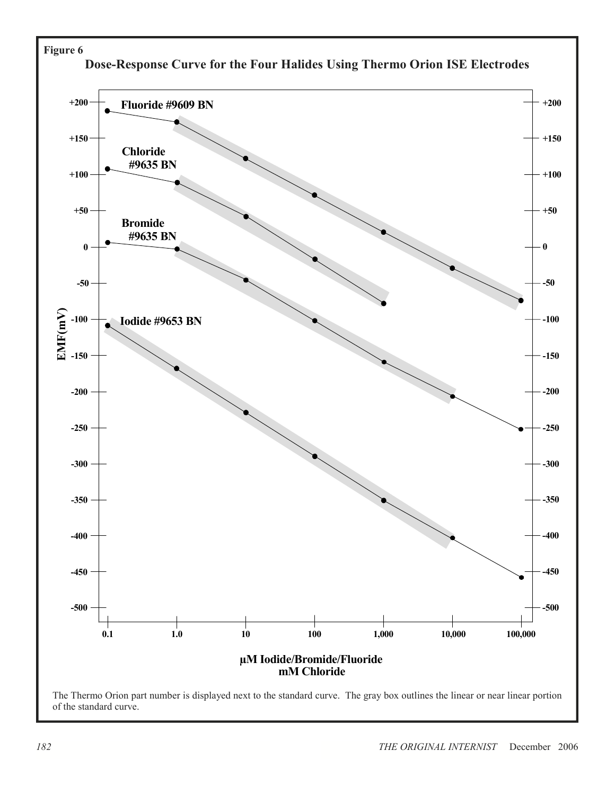

*182 THE ORIGINAL INTERNIST* December 2006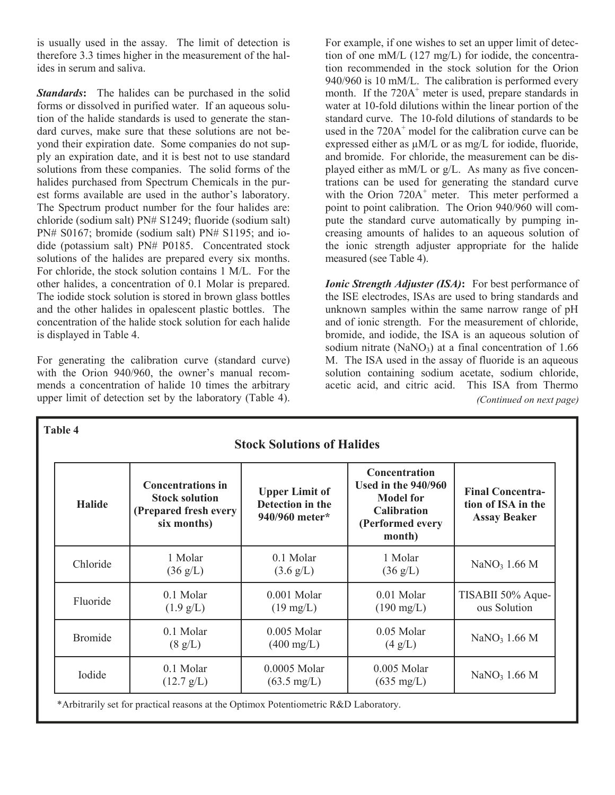is usually used in the assay. The limit of detection is therefore 3.3 times higher in the measurement of the halides in serum and saliva.

**Standards:** The halides can be purchased in the solid forms or dissolved in purified water. If an aqueous solution of the halide standards is used to generate the standard curves, make sure that these solutions are not beyond their expiration date. Some companies do not supply an expiration date, and it is best not to use standard solutions from these companies. The solid forms of the halides purchased from Spectrum Chemicals in the purest forms available are used in the author's laboratory. The Spectrum product number for the four halides are: chloride (sodium salt) PN# S1249; fluoride (sodium salt) PN# S0167; bromide (sodium salt) PN# S1195; and iodide (potassium salt) PN# P0185. Concentrated stock solutions of the halides are prepared every six months. For chloride, the stock solution contains 1 M/L. For the other halides, a concentration of 0.1 Molar is prepared. The iodide stock solution is stored in brown glass bottles and the other halides in opalescent plastic bottles. The concentration of the halide stock solution for each halide is displayed in Table 4.

For generating the calibration curve (standard curve) with the Orion 940/960, the owner's manual recommends a concentration of halide 10 times the arbitrary upper limit of detection set by the laboratory (Table 4).

For example, if one wishes to set an upper limit of detection of one mM/L (127 mg/L) for iodide, the concentration recommended in the stock solution for the Orion 940/960 is 10 mM/L. The calibration is performed every month. If the  $720A<sup>+</sup>$  meter is used, prepare standards in water at 10-fold dilutions within the linear portion of the standard curve. The 10-fold dilutions of standards to be used in the 720A<sup>+</sup> model for the calibration curve can be expressed either as µM/L or as mg/L for iodide, fluoride, and bromide. For chloride, the measurement can be displayed either as mM/L or g/L. As many as five concentrations can be used for generating the standard curve with the Orion 720A<sup>+</sup> meter. This meter performed a point to point calibration. The Orion 940/960 will compute the standard curve automatically by pumping increasing amounts of halides to an aqueous solution of the ionic strength adjuster appropriate for the halide measured (see Table 4).

*(Continued on next page) Ionic Strength Adjuster (ISA)***:** For best performance of the ISE electrodes, ISAs are used to bring standards and unknown samples within the same narrow range of pH and of ionic strength. For the measurement of chloride, bromide, and iodide, the ISA is an aqueous solution of sodium nitrate  $(NaNO<sub>3</sub>)$  at a final concentration of 1.66 M. The ISA used in the assay of fluoride is an aqueous solution containing sodium acetate, sodium chloride, acetic acid, and citric acid. This ISA from Thermo

| <b>Halide</b>  | <b>Concentrations in</b><br><b>Stock solution</b><br>(Prepared fresh every<br>six months) | <b>Upper Limit of</b><br>Detection in the<br>940/960 meter* | <b>Concentration</b><br><b>Used in the 940/960</b><br><b>Model for</b><br><b>Calibration</b><br>(Performed every<br>month) | <b>Final Concentra-</b><br>tion of ISA in the<br><b>Assay Beaker</b> |
|----------------|-------------------------------------------------------------------------------------------|-------------------------------------------------------------|----------------------------------------------------------------------------------------------------------------------------|----------------------------------------------------------------------|
| Chloride       | 1 Molar<br>$(36 \text{ g/L})$                                                             | 0.1 Molar<br>$(3.6 \text{ g/L})$                            | 1 Molar<br>$(36 \text{ g/L})$                                                                                              | NaNO <sub>3</sub> 1.66 M                                             |
| Fluoride       | 0.1 Molar<br>$(1.9 \text{ g/L})$                                                          | $0.001$ Molar<br>$(19 \text{ mg/L})$                        | 0.01 Molar<br>$(190 \text{ mg/L})$                                                                                         | TISABII 50% Aque-<br>ous Solution                                    |
| <b>Bromide</b> | 0.1 Molar<br>(8 g/L)                                                                      | $0.005$ Molar<br>$(400 \text{ mg/L})$                       | $0.05$ Molar<br>(4 g/L)                                                                                                    | NaNO <sub>3</sub> 1.66 M                                             |
| Iodide         | 0.1 Molar<br>$(12.7 \text{ g/L})$                                                         | 0.0005 Molar<br>$(63.5 \text{ mg/L})$                       | $0.005$ Molar<br>$(635 \text{ mg/L})$                                                                                      | NaNO <sub>3</sub> 1.66 M                                             |

\*Arbitrarily set for practical reasons at the Optimox Potentiometric R&D Laboratory.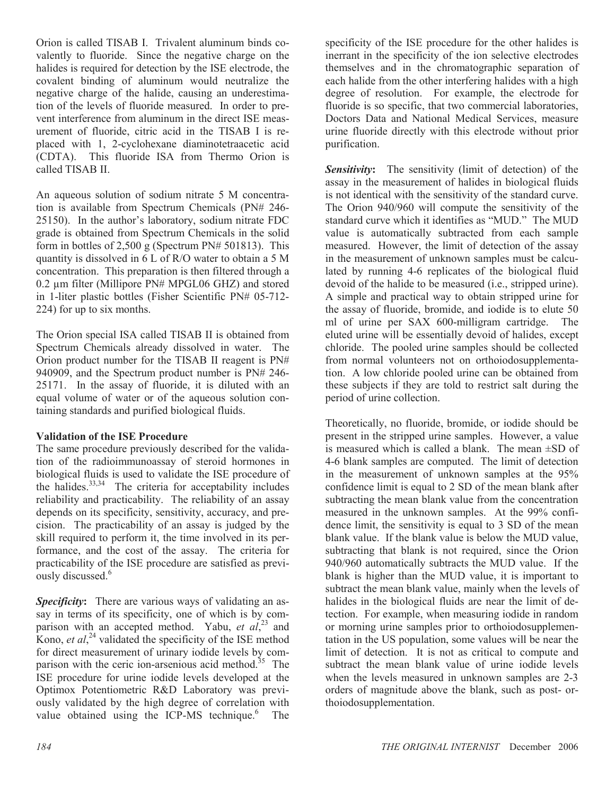Orion is called TISAB I. Trivalent aluminum binds covalently to fluoride. Since the negative charge on the halides is required for detection by the ISE electrode, the covalent binding of aluminum would neutralize the negative charge of the halide, causing an underestimation of the levels of fluoride measured. In order to prevent interference from aluminum in the direct ISE measurement of fluoride, citric acid in the TISAB I is replaced with 1, 2-cyclohexane diaminotetraacetic acid (CDTA). This fluoride ISA from Thermo Orion is called TISAB II.

An aqueous solution of sodium nitrate 5 M concentration is available from Spectrum Chemicals (PN# 246- 25150). In the author's laboratory, sodium nitrate FDC grade is obtained from Spectrum Chemicals in the solid form in bottles of  $2,500$  g (Spectrum PN# 501813). This quantity is dissolved in 6 L of R/O water to obtain a 5 M concentration. This preparation is then filtered through a 0.2 µm filter (Millipore PN# MPGL06 GHZ) and stored in 1-liter plastic bottles (Fisher Scientific PN# 05-712- 224) for up to six months.

The Orion special ISA called TISAB II is obtained from Spectrum Chemicals already dissolved in water. The Orion product number for the TISAB II reagent is PN# 940909, and the Spectrum product number is PN# 246- 25171. In the assay of fluoride, it is diluted with an equal volume of water or of the aqueous solution containing standards and purified biological fluids.

## **Validation of the ISE Procedure**

The same procedure previously described for the validation of the radioimmunoassay of steroid hormones in biological fluids is used to validate the ISE procedure of the halides. $33,34$  The criteria for acceptability includes reliability and practicability. The reliability of an assay depends on its specificity, sensitivity, accuracy, and precision. The practicability of an assay is judged by the skill required to perform it, the time involved in its performance, and the cost of the assay. The criteria for practicability of the ISE procedure are satisfied as previously discussed.<sup>6</sup>

*Specificity*: There are various ways of validating an assay in terms of its specificity, one of which is by comparison with an accepted method. Yabu, *et al*<sup>23</sup> and Kono, *et al*, $^{24}$  validated the specificity of the ISE method for direct measurement of urinary iodide levels by comparison with the ceric ion-arsenious acid method.<sup>35</sup> The ISE procedure for urine iodide levels developed at the Optimox Potentiometric R&D Laboratory was previously validated by the high degree of correlation with value obtained using the ICP-MS technique.<sup>6</sup> The

specificity of the ISE procedure for the other halides is inerrant in the specificity of the ion selective electrodes themselves and in the chromatographic separation of each halide from the other interfering halides with a high degree of resolution. For example, the electrode for fluoride is so specific, that two commercial laboratories, Doctors Data and National Medical Services, measure urine fluoride directly with this electrode without prior purification.

**Sensitivity:** The sensitivity (limit of detection) of the assay in the measurement of halides in biological fluids is not identical with the sensitivity of the standard curve. The Orion 940/960 will compute the sensitivity of the standard curve which it identifies as "MUD." The MUD value is automatically subtracted from each sample measured. However, the limit of detection of the assay in the measurement of unknown samples must be calculated by running 4-6 replicates of the biological fluid devoid of the halide to be measured (i.e., stripped urine). A simple and practical way to obtain stripped urine for the assay of fluoride, bromide, and iodide is to elute 50 ml of urine per SAX 600-milligram cartridge. The eluted urine will be essentially devoid of halides, except chloride. The pooled urine samples should be collected from normal volunteers not on orthoiodosupplementation. A low chloride pooled urine can be obtained from these subjects if they are told to restrict salt during the period of urine collection.

Theoretically, no fluoride, bromide, or iodide should be present in the stripped urine samples. However, a value is measured which is called a blank. The mean  $\pm$ SD of 4-6 blank samples are computed. The limit of detection in the measurement of unknown samples at the 95% confidence limit is equal to 2 SD of the mean blank after subtracting the mean blank value from the concentration measured in the unknown samples. At the 99% confidence limit, the sensitivity is equal to 3 SD of the mean blank value. If the blank value is below the MUD value, subtracting that blank is not required, since the Orion 940/960 automatically subtracts the MUD value. If the blank is higher than the MUD value, it is important to subtract the mean blank value, mainly when the levels of halides in the biological fluids are near the limit of detection. For example, when measuring iodide in random or morning urine samples prior to orthoiodosupplementation in the US population, some values will be near the limit of detection. It is not as critical to compute and subtract the mean blank value of urine iodide levels when the levels measured in unknown samples are 2-3 orders of magnitude above the blank, such as post- orthoiodosupplementation.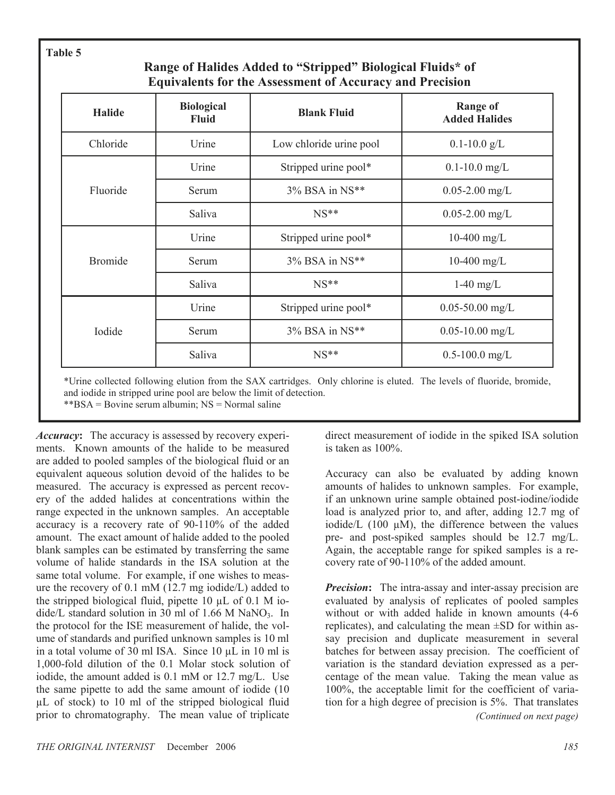## **Range of Halides Added to "Stripped" Biological Fluids\* of Equivalents for the Assessment of Accuracy and Precision**

| <b>Halide</b>  | <b>Biological</b><br><b>Fluid</b> | <b>Blank Fluid</b>      | <b>Range of</b><br><b>Added Halides</b> |  |
|----------------|-----------------------------------|-------------------------|-----------------------------------------|--|
| Chloride       | Urine                             | Low chloride urine pool | $0.1 - 10.0$ g/L                        |  |
|                | Urine                             | Stripped urine pool*    | $0.1 - 10.0$ mg/L                       |  |
| Fluoride       | Serum                             | 3% BSA in NS**          | $0.05 - 2.00$ mg/L                      |  |
|                | Saliva                            | $NS**$                  | $0.05 - 2.00$ mg/L                      |  |
|                | Urine                             | Stripped urine pool*    | $10-400$ mg/L                           |  |
| <b>Bromide</b> | Serum                             | 3% BSA in NS**          | $10-400$ mg/L                           |  |
|                | Saliva                            | $NS**$                  | $1-40$ mg/L                             |  |
|                | Urine                             | Stripped urine pool*    | $0.05 - 50.00$ mg/L                     |  |
| Iodide         | Serum                             | 3% BSA in NS**          | $0.05 - 10.00$ mg/L                     |  |
|                | Saliva                            | $NS**$                  | $0.5 - 100.0$ mg/L                      |  |

\*Urine collected following elution from the SAX cartridges. Only chlorine is eluted. The levels of fluoride, bromide, and iodide in stripped urine pool are below the limit of detection. \*\*BSA = Bovine serum albumin; NS = Normal saline

*Accuracy***:** The accuracy is assessed by recovery experiments. Known amounts of the halide to be measured are added to pooled samples of the biological fluid or an equivalent aqueous solution devoid of the halides to be measured. The accuracy is expressed as percent recovery of the added halides at concentrations within the range expected in the unknown samples. An acceptable accuracy is a recovery rate of 90-110% of the added amount. The exact amount of halide added to the pooled blank samples can be estimated by transferring the same volume of halide standards in the ISA solution at the same total volume. For example, if one wishes to measure the recovery of 0.1 mM (12.7 mg iodide/L) added to the stripped biological fluid, pipette 10 µL of 0.1 M iodide/L standard solution in 30 ml of 1.66 M NaNO<sub>3</sub>. In the protocol for the ISE measurement of halide, the volume of standards and purified unknown samples is 10 ml in a total volume of 30 ml ISA. Since 10 µL in 10 ml is 1,000-fold dilution of the 0.1 Molar stock solution of iodide, the amount added is 0.1 mM or 12.7 mg/L. Use the same pipette to add the same amount of iodide (10 µL of stock) to 10 ml of the stripped biological fluid prior to chromatography. The mean value of triplicate

direct measurement of iodide in the spiked ISA solution is taken as 100%.

Accuracy can also be evaluated by adding known amounts of halides to unknown samples. For example, if an unknown urine sample obtained post-iodine/iodide load is analyzed prior to, and after, adding 12.7 mg of iodide/L (100  $\mu$ M), the difference between the values pre- and post-spiked samples should be 12.7 mg/L. Again, the acceptable range for spiked samples is a recovery rate of 90-110% of the added amount.

*Precision*: The intra-assay and inter-assay precision are evaluated by analysis of replicates of pooled samples without or with added halide in known amounts (4-6 replicates), and calculating the mean  $\pm SD$  for within assay precision and duplicate measurement in several batches for between assay precision. The coefficient of variation is the standard deviation expressed as a percentage of the mean value. Taking the mean value as 100%, the acceptable limit for the coefficient of variation for a high degree of precision is 5%. That translates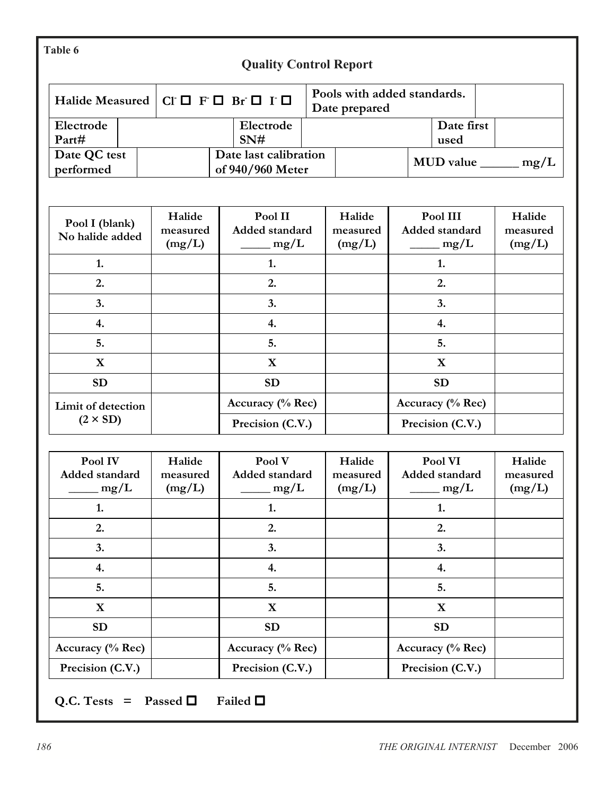# **Quality Control Report**

|                           | Halide Measured $\mid$ Cl $\Box$ F $\Box$ Br $\Box$ I $\Box$ |                                           | Pools with added standards.<br>Date prepared |                    |      |
|---------------------------|--------------------------------------------------------------|-------------------------------------------|----------------------------------------------|--------------------|------|
| Electrode<br>Part#        |                                                              | Electrode<br>SN#                          |                                              | Date first<br>used |      |
| Date QC test<br>performed |                                                              | Date last calibration<br>of 940/960 Meter |                                              | <b>MUD</b> value   | mg/L |

| Pool I (blank)<br>No halide added | Halide<br>measured<br>(mg/L) | Pool II<br>Added standard<br>mg/L | Halide<br>measured<br>(mg/L) | Pool III<br>Added standard<br>mg/L | Halide<br>measured<br>(mg/L) |
|-----------------------------------|------------------------------|-----------------------------------|------------------------------|------------------------------------|------------------------------|
| 1.                                |                              | 1.                                |                              | 1.                                 |                              |
| 2.                                |                              | 2.                                |                              | 2.                                 |                              |
| 3.                                |                              | 3.                                |                              | 3.                                 |                              |
| 4.                                |                              | 4.                                |                              | 4.                                 |                              |
| 5.                                |                              | 5.                                |                              | 5.                                 |                              |
| X                                 |                              | X                                 |                              | X                                  |                              |
| <b>SD</b>                         |                              | <b>SD</b>                         |                              | <b>SD</b>                          |                              |
| Limit of detection                |                              | Accuracy ( $\%$ Rec)              |                              | Accuracy (% Rec)                   |                              |
| $(2 \times SD)$                   |                              | Precision (C.V.)                  |                              | Precision (C.V.)                   |                              |

| Pool IV<br>Added standard<br>mg/L | Halide<br>measured<br>(mg/L) | Pool V<br>Added standard<br>mg/L | Halide<br>measured<br>(mg/L) | Pool VI<br>Added standard<br>mg/L | Halide<br>measured<br>(mg/L) |
|-----------------------------------|------------------------------|----------------------------------|------------------------------|-----------------------------------|------------------------------|
| 1.                                |                              | 1.                               |                              | 1.                                |                              |
| 2.                                |                              | 2.                               |                              | 2.                                |                              |
| 3.                                |                              | 3.                               |                              | 3.                                |                              |
| 4.                                |                              | 4.                               |                              | 4.                                |                              |
| 5.                                |                              | 5.                               |                              | 5.                                |                              |
| $\mathbf X$                       |                              | X                                |                              | X                                 |                              |
| <b>SD</b>                         |                              | <b>SD</b>                        |                              | <b>SD</b>                         |                              |
| Accuracy ( $\%$ Rec)              |                              | Accuracy ( $\%$ Rec)             |                              | Accuracy (% Rec)                  |                              |
| Precision (C.V.)                  |                              | Precision (C.V.)                 |                              | Precision (C.V.)                  |                              |
|                                   |                              |                                  |                              |                                   |                              |

 $Q.C. Tests = Passed \Box$  Failed  $\Box$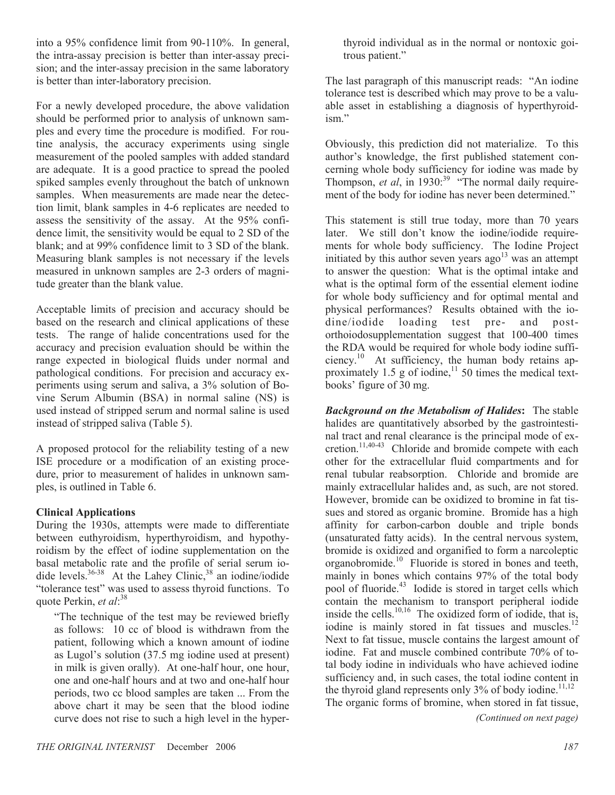into a 95% confidence limit from 90-110%. In general, the intra-assay precision is better than inter-assay precision; and the inter-assay precision in the same laboratory is better than inter-laboratory precision.

For a newly developed procedure, the above validation should be performed prior to analysis of unknown samples and every time the procedure is modified. For routine analysis, the accuracy experiments using single measurement of the pooled samples with added standard are adequate. It is a good practice to spread the pooled spiked samples evenly throughout the batch of unknown samples. When measurements are made near the detection limit, blank samples in 4-6 replicates are needed to assess the sensitivity of the assay. At the 95% confidence limit, the sensitivity would be equal to 2 SD of the blank; and at 99% confidence limit to 3 SD of the blank. Measuring blank samples is not necessary if the levels measured in unknown samples are 2-3 orders of magnitude greater than the blank value.

Acceptable limits of precision and accuracy should be based on the research and clinical applications of these tests. The range of halide concentrations used for the accuracy and precision evaluation should be within the range expected in biological fluids under normal and pathological conditions. For precision and accuracy experiments using serum and saliva, a 3% solution of Bovine Serum Albumin (BSA) in normal saline (NS) is used instead of stripped serum and normal saline is used instead of stripped saliva (Table 5).

A proposed protocol for the reliability testing of a new ISE procedure or a modification of an existing procedure, prior to measurement of halides in unknown samples, is outlined in Table 6.

## **Clinical Applications**

During the 1930s, attempts were made to differentiate between euthyroidism, hyperthyroidism, and hypothyroidism by the effect of iodine supplementation on the basal metabolic rate and the profile of serial serum iodide levels.<sup>36-38</sup> At the Lahey Clinic,<sup>38</sup> an iodine/iodide "tolerance test" was used to assess thyroid functions. To quote Perkin, *et al*: 38

"The technique of the test may be reviewed briefly as follows: 10 cc of blood is withdrawn from the patient, following which a known amount of iodine as Lugol's solution (37.5 mg iodine used at present) in milk is given orally). At one-half hour, one hour, one and one-half hours and at two and one-half hour periods, two cc blood samples are taken ... From the above chart it may be seen that the blood iodine curve does not rise to such a high level in the hyper-

thyroid individual as in the normal or nontoxic goitrous patient."

The last paragraph of this manuscript reads: "An iodine tolerance test is described which may prove to be a valuable asset in establishing a diagnosis of hyperthyroidism."

Obviously, this prediction did not materialize. To this author's knowledge, the first published statement concerning whole body sufficiency for iodine was made by Thompson, *et al*, in 1930:<sup>39</sup> "The normal daily requirement of the body for iodine has never been determined."

This statement is still true today, more than 70 years later. We still don't know the iodine/iodide requirements for whole body sufficiency. The Iodine Project initiated by this author seven years ago<sup>13</sup> was an attempt to answer the question: What is the optimal intake and what is the optimal form of the essential element iodine for whole body sufficiency and for optimal mental and physical performances? Results obtained with the iodine/iodide loading test pre- and postorthoiodosupplementation suggest that 100-400 times the RDA would be required for whole body iodine sufficiency.10 At sufficiency, the human body retains approximately 1.5 g of iodine,<sup>11</sup> 50 times the medical textbooks' figure of 30 mg.

*Background on the Metabolism of Halides***:** The stable halides are quantitatively absorbed by the gastrointestinal tract and renal clearance is the principal mode of excretion.<sup>11,40-43</sup> Chloride and bromide compete with each other for the extracellular fluid compartments and for renal tubular reabsorption. Chloride and bromide are mainly extracellular halides and, as such, are not stored. However, bromide can be oxidized to bromine in fat tissues and stored as organic bromine. Bromide has a high affinity for carbon-carbon double and triple bonds (unsaturated fatty acids). In the central nervous system, bromide is oxidized and organified to form a narcoleptic organobromide.10 Fluoride is stored in bones and teeth, mainly in bones which contains 97% of the total body pool of fluoride.<sup>43</sup> Iodide is stored in target cells which contain the mechanism to transport peripheral iodide inside the cells.<sup>10,16</sup> The oxidized form of iodide, that is, iodine is mainly stored in fat tissues and muscles.<sup>12</sup> Next to fat tissue, muscle contains the largest amount of iodine. Fat and muscle combined contribute 70% of total body iodine in individuals who have achieved iodine sufficiency and, in such cases, the total iodine content in the thyroid gland represents only  $3\%$  of body iodine.<sup>11,12</sup> The organic forms of bromine, when stored in fat tissue,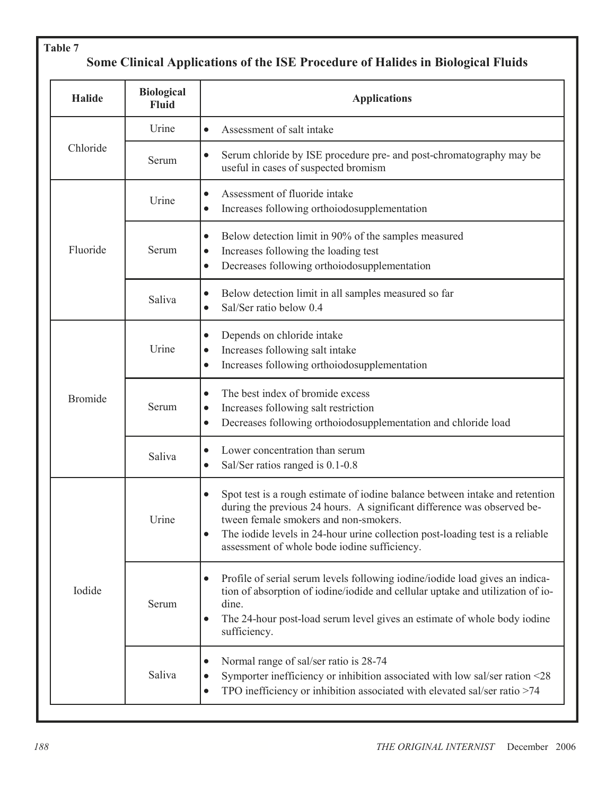# **Some Clinical Applications of the ISE Procedure of Halides in Biological Fluids**

| <b>Halide</b>  | <b>Biological</b><br><b>Fluid</b> | <b>Applications</b>                                                                                                                                                                                                                                                                                                                            |
|----------------|-----------------------------------|------------------------------------------------------------------------------------------------------------------------------------------------------------------------------------------------------------------------------------------------------------------------------------------------------------------------------------------------|
|                | Urine                             | Assessment of salt intake<br>$\bullet$                                                                                                                                                                                                                                                                                                         |
| Chloride       | Serum                             | Serum chloride by ISE procedure pre- and post-chromatography may be<br>$\bullet$<br>useful in cases of suspected bromism                                                                                                                                                                                                                       |
|                | Urine                             | Assessment of fluoride intake<br>$\bullet$<br>Increases following orthoiodosupplementation<br>$\bullet$                                                                                                                                                                                                                                        |
| Fluoride       | Serum                             | Below detection limit in 90% of the samples measured<br>$\bullet$<br>Increases following the loading test<br>$\bullet$<br>Decreases following orthoiodosupplementation<br>$\bullet$                                                                                                                                                            |
|                | Saliva                            | Below detection limit in all samples measured so far<br>$\bullet$<br>Sal/Ser ratio below 0.4<br>$\bullet$                                                                                                                                                                                                                                      |
|                | Urine                             | Depends on chloride intake<br>$\bullet$<br>Increases following salt intake<br>$\bullet$<br>Increases following orthoiodosupplementation<br>$\bullet$                                                                                                                                                                                           |
| <b>Bromide</b> | Serum                             | The best index of bromide excess<br>$\bullet$<br>Increases following salt restriction<br>$\bullet$<br>Decreases following orthoiodosupplementation and chloride load<br>$\bullet$                                                                                                                                                              |
|                | Saliva                            | Lower concentration than serum<br>$\bullet$<br>Sal/Ser ratios ranged is 0.1-0.8<br>$\bullet$                                                                                                                                                                                                                                                   |
|                | Urine                             | Spot test is a rough estimate of iodine balance between intake and retention<br>$\bullet$<br>during the previous 24 hours. A significant difference was observed be-<br>tween female smokers and non-smokers.<br>The iodide levels in 24-hour urine collection post-loading test is a reliable<br>assessment of whole bode iodine sufficiency. |
| Iodide         | Serum                             | Profile of serial serum levels following iodine/iodide load gives an indica-<br>tion of absorption of iodine/iodide and cellular uptake and utilization of io-<br>dine.<br>The 24-hour post-load serum level gives an estimate of whole body iodine<br>$\bullet$<br>sufficiency.                                                               |
|                | Saliva                            | Normal range of sal/ser ratio is 28-74<br>$\bullet$<br>Symporter inefficiency or inhibition associated with low sal/ser ration <28<br>$\bullet$<br>TPO inefficiency or inhibition associated with elevated sal/ser ratio >74<br>$\bullet$                                                                                                      |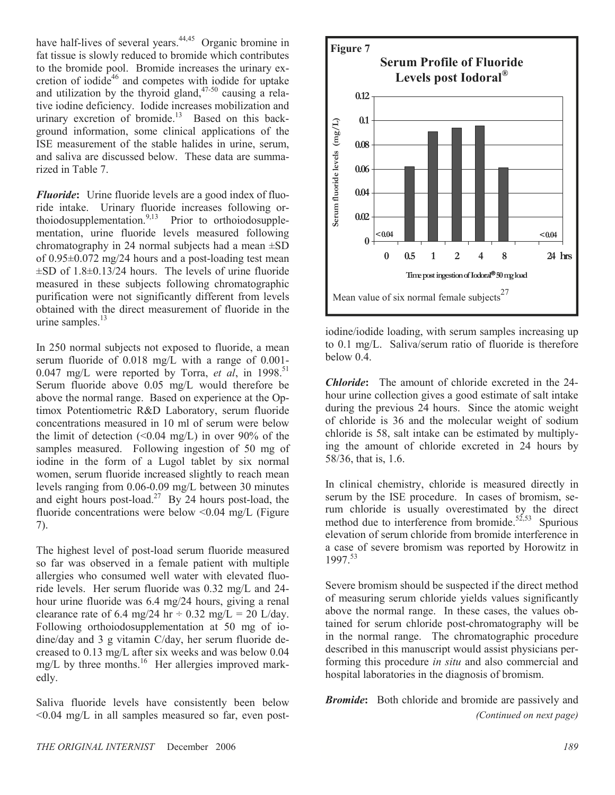have half-lives of several years.<sup>44,45</sup> Organic bromine in fat tissue is slowly reduced to bromide which contributes to the bromide pool. Bromide increases the urinary excretion of iodide<sup>46</sup> and competes with iodide for uptake and utilization by the thyroid gland, $47-50$  causing a relative iodine deficiency. Iodide increases mobilization and urinary excretion of bromide.<sup>13</sup> Based on this background information, some clinical applications of the ISE measurement of the stable halides in urine, serum, and saliva are discussed below. These data are summarized in Table 7.

*Fluoride***:** Urine fluoride levels are a good index of fluoride intake. Urinary fluoride increases following orthoiodosupplementation. $9,13$  Prior to orthoiodosupplementation, urine fluoride levels measured following chromatography in 24 normal subjects had a mean  $\pm SD$ of  $0.95\pm0.072$  mg/24 hours and a post-loading test mean  $\pm$ SD of 1.8 $\pm$ 0.13/24 hours. The levels of urine fluoride measured in these subjects following chromatographic purification were not significantly different from levels obtained with the direct measurement of fluoride in the urine samples. $^{13}$ 

In 250 normal subjects not exposed to fluoride, a mean serum fluoride of 0.018 mg/L with a range of 0.001- 0.047 mg/L were reported by Torra, *et al*, in 1998.<sup>51</sup> Serum fluoride above 0.05 mg/L would therefore be above the normal range. Based on experience at the Optimox Potentiometric R&D Laboratory, serum fluoride concentrations measured in 10 ml of serum were below the limit of detection  $\langle 0.04 \text{ mg/L} \rangle$  in over 90% of the samples measured. Following ingestion of 50 mg of iodine in the form of a Lugol tablet by six normal women, serum fluoride increased slightly to reach mean levels ranging from 0.06-0.09 mg/L between 30 minutes and eight hours post-load.<sup>27</sup> By 24 hours post-load, the fluoride concentrations were below <0.04 mg/L (Figure 7).

The highest level of post-load serum fluoride measured so far was observed in a female patient with multiple allergies who consumed well water with elevated fluoride levels. Her serum fluoride was 0.32 mg/L and 24 hour urine fluoride was 6.4 mg/24 hours, giving a renal clearance rate of 6.4 mg/24 hr  $\div$  0.32 mg/L = 20 L/day. Following orthoiodosupplementation at 50 mg of iodine/day and 3 g vitamin C/day, her serum fluoride decreased to 0.13 mg/L after six weeks and was below 0.04  $mg/L$  by three months.<sup>16</sup> Her allergies improved markedly.

Saliva fluoride levels have consistently been below <0.04 mg/L in all samples measured so far, even post-



iodine/iodide loading, with serum samples increasing up to 0.1 mg/L. Saliva/serum ratio of fluoride is therefore below 0.4.

*Chloride***:** The amount of chloride excreted in the 24 hour urine collection gives a good estimate of salt intake during the previous 24 hours. Since the atomic weight of chloride is 36 and the molecular weight of sodium chloride is 58, salt intake can be estimated by multiplying the amount of chloride excreted in 24 hours by 58/36, that is, 1.6.

In clinical chemistry, chloride is measured directly in serum by the ISE procedure. In cases of bromism, serum chloride is usually overestimated by the direct method due to interference from bromide.<sup>52,53</sup> Spurious elevation of serum chloride from bromide interference in a case of severe bromism was reported by Horowitz in 1997.<sup>53</sup>

Severe bromism should be suspected if the direct method of measuring serum chloride yields values significantly above the normal range. In these cases, the values obtained for serum chloride post-chromatography will be in the normal range. The chromatographic procedure described in this manuscript would assist physicians performing this procedure *in situ* and also commercial and hospital laboratories in the diagnosis of bromism.

*Bromide***:** Both chloride and bromide are passively and *(Continued on next page)*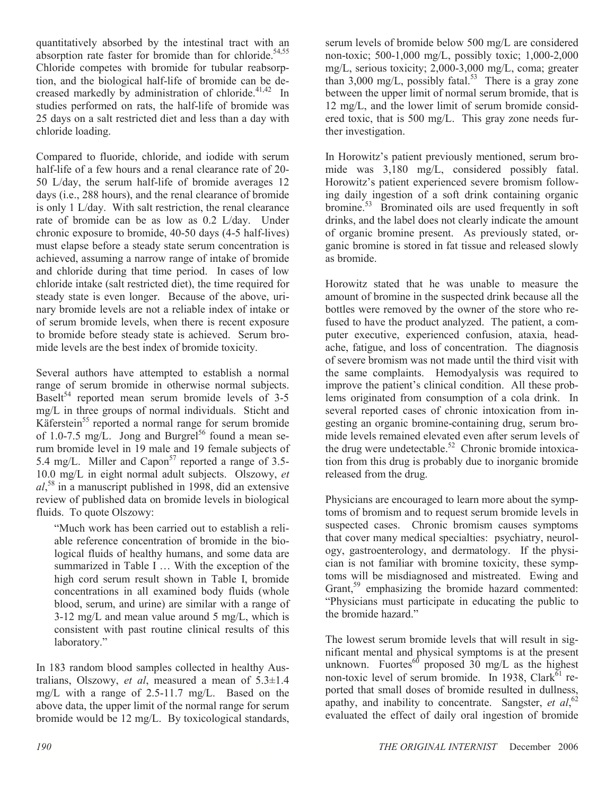quantitatively absorbed by the intestinal tract with an absorption rate faster for bromide than for chloride.<sup>54,55</sup> Chloride competes with bromide for tubular reabsorption, and the biological half-life of bromide can be decreased markedly by administration of chloride.<sup>41,42</sup> In studies performed on rats, the half-life of bromide was 25 days on a salt restricted diet and less than a day with chloride loading.

Compared to fluoride, chloride, and iodide with serum half-life of a few hours and a renal clearance rate of 20- 50 L/day, the serum half-life of bromide averages 12 days (i.e., 288 hours), and the renal clearance of bromide is only 1 L/day. With salt restriction, the renal clearance rate of bromide can be as low as 0.2 L/day. Under chronic exposure to bromide, 40-50 days (4-5 half-lives) must elapse before a steady state serum concentration is achieved, assuming a narrow range of intake of bromide and chloride during that time period. In cases of low chloride intake (salt restricted diet), the time required for steady state is even longer. Because of the above, urinary bromide levels are not a reliable index of intake or of serum bromide levels, when there is recent exposure to bromide before steady state is achieved. Serum bromide levels are the best index of bromide toxicity.

Several authors have attempted to establish a normal range of serum bromide in otherwise normal subjects. Baselt<sup>54</sup> reported mean serum bromide levels of  $3-5$ mg/L in three groups of normal individuals. Sticht and Käferstein<sup>55</sup> reported a normal range for serum bromide of 1.0-7.5 mg/ $\tilde{L}$ . Jong and Burgrel<sup>56</sup> found a mean serum bromide level in 19 male and 19 female subjects of 5.4 mg/L. Miller and Capon<sup>57</sup> reported a range of  $3.5$ -10.0 mg/L in eight normal adult subjects. Olszowy, *et al*, 58 in a manuscript published in 1998, did an extensive review of published data on bromide levels in biological fluids. To quote Olszowy:

"Much work has been carried out to establish a reliable reference concentration of bromide in the biological fluids of healthy humans, and some data are summarized in Table I … With the exception of the high cord serum result shown in Table I, bromide concentrations in all examined body fluids (whole blood, serum, and urine) are similar with a range of 3-12 mg/L and mean value around 5 mg/L, which is consistent with past routine clinical results of this laboratory."

In 183 random blood samples collected in healthy Australians, Olszowy, *et al*, measured a mean of 5.3±1.4 mg/L with a range of 2.5-11.7 mg/L. Based on the above data, the upper limit of the normal range for serum bromide would be 12 mg/L. By toxicological standards,

serum levels of bromide below 500 mg/L are considered non-toxic; 500-1,000 mg/L, possibly toxic; 1,000-2,000 mg/L, serious toxicity; 2,000-3,000 mg/L, coma; greater than  $3,000 \text{ mg/L}$ , possibly fatal.<sup>53</sup> There is a gray zone between the upper limit of normal serum bromide, that is 12 mg/L, and the lower limit of serum bromide considered toxic, that is 500 mg/L. This gray zone needs further investigation.

In Horowitz's patient previously mentioned, serum bromide was 3,180 mg/L, considered possibly fatal. Horowitz's patient experienced severe bromism following daily ingestion of a soft drink containing organic bromine.<sup>53</sup> Brominated oils are used frequently in soft drinks, and the label does not clearly indicate the amount of organic bromine present. As previously stated, organic bromine is stored in fat tissue and released slowly as bromide.

Horowitz stated that he was unable to measure the amount of bromine in the suspected drink because all the bottles were removed by the owner of the store who refused to have the product analyzed. The patient, a computer executive, experienced confusion, ataxia, headache, fatigue, and loss of concentration. The diagnosis of severe bromism was not made until the third visit with the same complaints. Hemodyalysis was required to improve the patient's clinical condition. All these problems originated from consumption of a cola drink. In several reported cases of chronic intoxication from ingesting an organic bromine-containing drug, serum bromide levels remained elevated even after serum levels of the drug were undetectable.<sup>52</sup> Chronic bromide intoxication from this drug is probably due to inorganic bromide released from the drug.

Physicians are encouraged to learn more about the symptoms of bromism and to request serum bromide levels in suspected cases. Chronic bromism causes symptoms that cover many medical specialties: psychiatry, neurology, gastroenterology, and dermatology. If the physician is not familiar with bromine toxicity, these symptoms will be misdiagnosed and mistreated. Ewing and Grant,<sup>59</sup> emphasizing the bromide hazard commented: "Physicians must participate in educating the public to the bromide hazard."

The lowest serum bromide levels that will result in significant mental and physical symptoms is at the present unknown. Fuortes<sup>60</sup> proposed 30 mg/L as the highest non-toxic level of serum bromide. In 1938, Clark $^{61}$  reported that small doses of bromide resulted in dullness, apathy, and inability to concentrate. Sangster, *et al*,<sup>62</sup> evaluated the effect of daily oral ingestion of bromide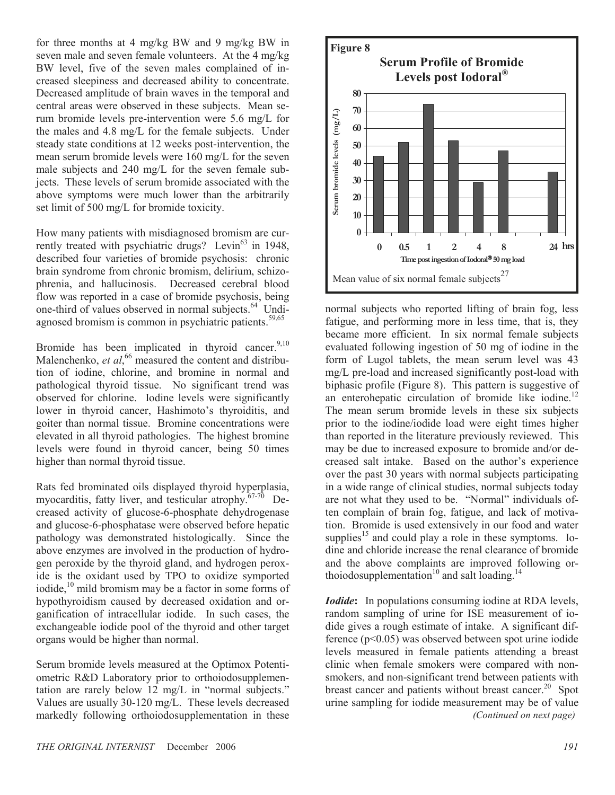for three months at 4 mg/kg BW and 9 mg/kg BW in seven male and seven female volunteers. At the 4 mg/kg BW level, five of the seven males complained of increased sleepiness and decreased ability to concentrate. Decreased amplitude of brain waves in the temporal and central areas were observed in these subjects. Mean serum bromide levels pre-intervention were 5.6 mg/L for the males and 4.8 mg/L for the female subjects. Under steady state conditions at 12 weeks post-intervention, the mean serum bromide levels were 160 mg/L for the seven male subjects and 240 mg/L for the seven female subjects. These levels of serum bromide associated with the above symptoms were much lower than the arbitrarily set limit of 500 mg/L for bromide toxicity.

How many patients with misdiagnosed bromism are currently treated with psychiatric drugs? Levin<sup>63</sup> in 1948, described four varieties of bromide psychosis: chronic brain syndrome from chronic bromism, delirium, schizophrenia, and hallucinosis. Decreased cerebral blood flow was reported in a case of bromide psychosis, being one-third of values observed in normal subjects.<sup>64</sup> Undiagnosed bromism is common in psychiatric patients.<sup>59,65</sup>

Bromide has been implicated in thyroid cancer.<sup>9,10</sup> Malenchenko, *et al*,<sup>66</sup> measured the content and distribution of iodine, chlorine, and bromine in normal and pathological thyroid tissue. No significant trend was observed for chlorine. Iodine levels were significantly lower in thyroid cancer, Hashimoto's thyroiditis, and goiter than normal tissue. Bromine concentrations were elevated in all thyroid pathologies. The highest bromine levels were found in thyroid cancer, being 50 times higher than normal thyroid tissue.

Rats fed brominated oils displayed thyroid hyperplasia, myocarditis, fatty liver, and testicular atrophy. $67-70$  Decreased activity of glucose-6-phosphate dehydrogenase and glucose-6-phosphatase were observed before hepatic pathology was demonstrated histologically. Since the above enzymes are involved in the production of hydrogen peroxide by the thyroid gland, and hydrogen peroxide is the oxidant used by TPO to oxidize symported iodide,<sup>10</sup> mild bromism may be a factor in some forms of hypothyroidism caused by decreased oxidation and organification of intracellular iodide. In such cases, the exchangeable iodide pool of the thyroid and other target organs would be higher than normal.

Serum bromide levels measured at the Optimox Potentiometric R&D Laboratory prior to orthoiodosupplementation are rarely below 12 mg/L in "normal subjects." Values are usually 30-120 mg/L. These levels decreased markedly following orthoiodosupplementation in these



normal subjects who reported lifting of brain fog, less fatigue, and performing more in less time, that is, they became more efficient. In six normal female subjects evaluated following ingestion of 50 mg of iodine in the form of Lugol tablets, the mean serum level was 43 mg/L pre-load and increased significantly post-load with biphasic profile (Figure 8). This pattern is suggestive of an enterohepatic circulation of bromide like iodine.<sup>12</sup> The mean serum bromide levels in these six subjects prior to the iodine/iodide load were eight times higher than reported in the literature previously reviewed. This may be due to increased exposure to bromide and/or decreased salt intake. Based on the author's experience over the past 30 years with normal subjects participating in a wide range of clinical studies, normal subjects today are not what they used to be. "Normal" individuals often complain of brain fog, fatigue, and lack of motivation. Bromide is used extensively in our food and water supplies<sup>15</sup> and could play a role in these symptoms. Iodine and chloride increase the renal clearance of bromide and the above complaints are improved following orthoiodosupplementation<sup>10</sup> and salt loading.<sup>14</sup>

*Iodide***:** In populations consuming iodine at RDA levels, random sampling of urine for ISE measurement of iodide gives a rough estimate of intake. A significant difference (p<0.05) was observed between spot urine iodide levels measured in female patients attending a breast clinic when female smokers were compared with nonsmokers, and non-significant trend between patients with breast cancer and patients without breast cancer.<sup>20</sup> Spot urine sampling for iodide measurement may be of value *(Continued on next page)*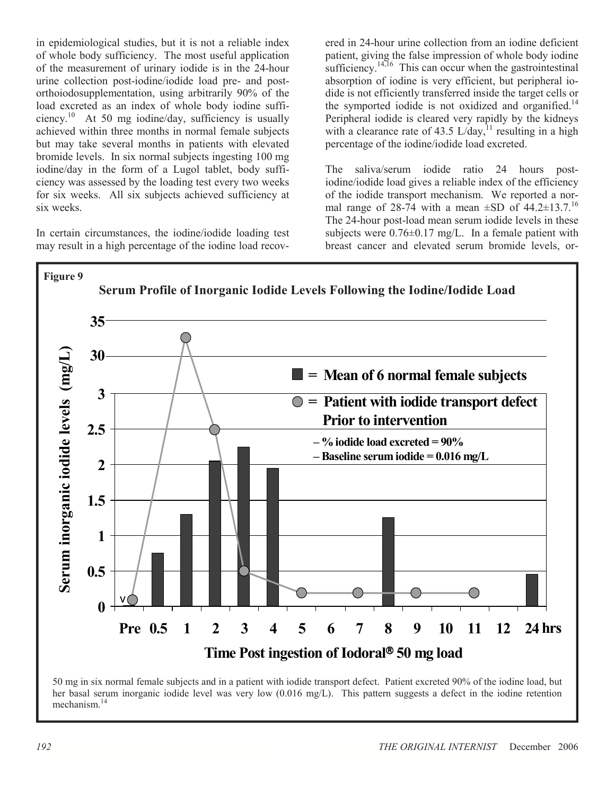in epidemiological studies, but it is not a reliable index of whole body sufficiency. The most useful application of the measurement of urinary iodide is in the 24-hour urine collection post-iodine/iodide load pre- and postorthoiodosupplementation, using arbitrarily 90% of the load excreted as an index of whole body iodine sufficiency.<sup>10</sup> At 50 mg iodine/day, sufficiency is usually achieved within three months in normal female subjects but may take several months in patients with elevated bromide levels. In six normal subjects ingesting 100 mg iodine/day in the form of a Lugol tablet, body sufficiency was assessed by the loading test every two weeks for six weeks. All six subjects achieved sufficiency at six weeks.

In certain circumstances, the iodine/iodide loading test may result in a high percentage of the iodine load recov-

ered in 24-hour urine collection from an iodine deficient patient, giving the false impression of whole body iodine sufficiency.<sup>14,16</sup> This can occur when the gastrointestinal absorption of iodine is very efficient, but peripheral iodide is not efficiently transferred inside the target cells or the symported iodide is not oxidized and organified.<sup>14</sup> Peripheral iodide is cleared very rapidly by the kidneys with a clearance rate of 43.5 L/day,<sup>11</sup> resulting in a high percentage of the iodine/iodide load excreted.

The saliva/serum iodide ratio 24 hours postiodine/iodide load gives a reliable index of the efficiency of the iodide transport mechanism. We reported a normal range of 28-74 with a mean  $\pm$ SD of 44.2 $\pm$ 13.7.<sup>16</sup> The 24-hour post-load mean serum iodide levels in these subjects were  $0.76\pm0.17$  mg/L. In a female patient with breast cancer and elevated serum bromide levels, or-



50 mg in six normal female subjects and in a patient with iodide transport defect. Patient excreted 90% of the iodine load, but her basal serum inorganic iodide level was very low (0.016 mg/L). This pattern suggests a defect in the iodine retention mechanism.<sup>14</sup>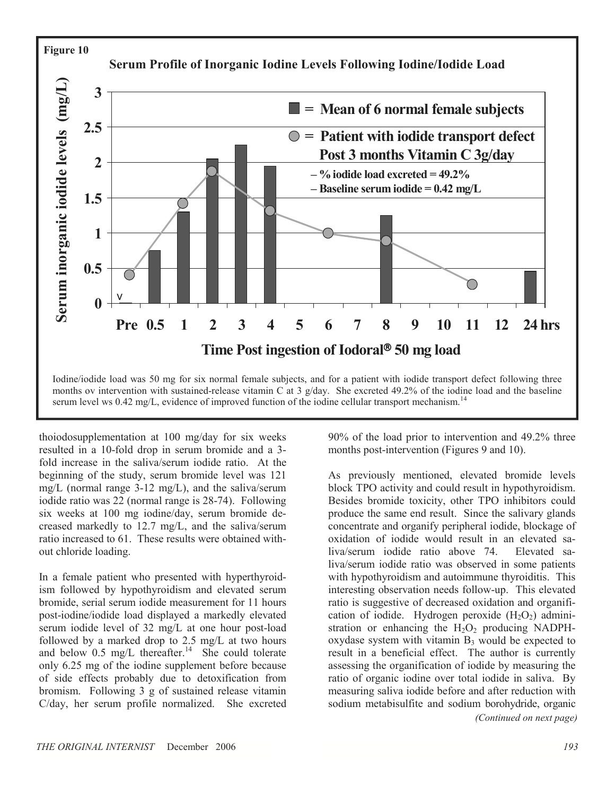

thoiodosupplementation at 100 mg/day for six weeks resulted in a 10-fold drop in serum bromide and a 3 fold increase in the saliva/serum iodide ratio. At the beginning of the study, serum bromide level was 121 mg/L (normal range 3-12 mg/L), and the saliva/serum iodide ratio was 22 (normal range is 28-74). Following six weeks at 100 mg iodine/day, serum bromide decreased markedly to 12.7 mg/L, and the saliva/serum ratio increased to 61. These results were obtained without chloride loading.

In a female patient who presented with hyperthyroidism followed by hypothyroidism and elevated serum bromide, serial serum iodide measurement for 11 hours post-iodine/iodide load displayed a markedly elevated serum iodide level of 32 mg/L at one hour post-load followed by a marked drop to 2.5 mg/L at two hours and below  $0.5 \text{ mg/L}$  thereafter.<sup>14</sup> She could tolerate only 6.25 mg of the iodine supplement before because of side effects probably due to detoxification from bromism. Following 3 g of sustained release vitamin 90% of the load prior to intervention and 49.2% three months post-intervention (Figures 9 and 10).

*(Continued on next page)*  As previously mentioned, elevated bromide levels block TPO activity and could result in hypothyroidism. Besides bromide toxicity, other TPO inhibitors could produce the same end result. Since the salivary glands concentrate and organify peripheral iodide, blockage of oxidation of iodide would result in an elevated saliva/serum iodide ratio above 74. Elevated saliva/serum iodide ratio was observed in some patients with hypothyroidism and autoimmune thyroiditis. This interesting observation needs follow-up. This elevated ratio is suggestive of decreased oxidation and organification of iodide. Hydrogen peroxide  $(H_2O_2)$  administration or enhancing the  $H_2O_2$  producing NADPHoxydase system with vitamin  $B_3$  would be expected to result in a beneficial effect. The author is currently assessing the organification of iodide by measuring the ratio of organic iodine over total iodide in saliva. By measuring saliva iodide before and after reduction with sodium metabisulfite and sodium borohydride, organic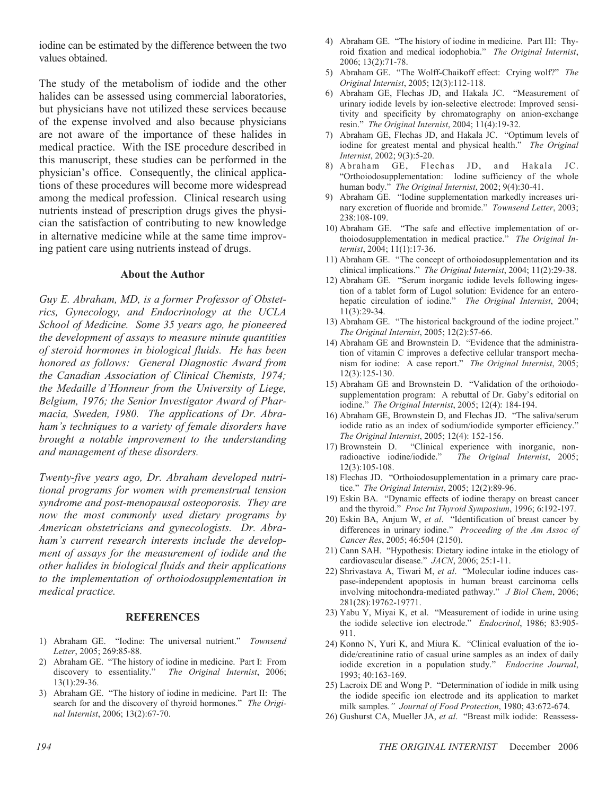iodine can be estimated by the difference between the two values obtained.

The study of the metabolism of iodide and the other halides can be assessed using commercial laboratories, but physicians have not utilized these services because of the expense involved and also because physicians are not aware of the importance of these halides in medical practice. With the ISE procedure described in this manuscript, these studies can be performed in the physician's office. Consequently, the clinical applications of these procedures will become more widespread among the medical profession. Clinical research using nutrients instead of prescription drugs gives the physician the satisfaction of contributing to new knowledge in alternative medicine while at the same time improving patient care using nutrients instead of drugs.

#### **About the Author**

*Guy E. Abraham, MD, is a former Professor of Obstetrics, Gynecology, and Endocrinology at the UCLA School of Medicine. Some 35 years ago, he pioneered the development of assays to measure minute quantities of steroid hormones in biological fluids. He has been honored as follows: General Diagnostic Award from the Canadian Association of Clinical Chemists, 1974; the Medaille d'Honneur from the University of Liege, Belgium, 1976; the Senior Investigator Award of Pharmacia, Sweden, 1980. The applications of Dr. Abraham's techniques to a variety of female disorders have brought a notable improvement to the understanding and management of these disorders.* 

*Twenty-five years ago, Dr. Abraham developed nutritional programs for women with premenstrual tension syndrome and post-menopausal osteoporosis. They are now the most commonly used dietary programs by American obstetricians and gynecologists. Dr. Abraham's current research interests include the development of assays for the measurement of iodide and the other halides in biological fluids and their applications to the implementation of orthoiodosupplementation in medical practice.* 

#### **REFERENCES**

- 1) Abraham GE. "Iodine: The universal nutrient." *Townsend Letter*, 2005; 269:85-88.
- 2) Abraham GE. "The history of iodine in medicine. Part I: From discovery to essentiality." *The Original Internist*, 2006; 13(1):29-36.
- 3) Abraham GE. "The history of iodine in medicine. Part II: The search for and the discovery of thyroid hormones." *The Original Internist*, 2006; 13(2):67-70.
- 4) Abraham GE. "The history of iodine in medicine. Part III: Thyroid fixation and medical iodophobia." *The Original Internist*, 2006; 13(2):71-78.
- 5) Abraham GE. "The Wolff-Chaikoff effect: Crying wolf?" *The Original Internist*, 2005; 12(3):112-118.
- 6) Abraham GE, Flechas JD, and Hakala JC. "Measurement of urinary iodide levels by ion-selective electrode: Improved sensitivity and specificity by chromatography on anion-exchange resin." *The Original Internist*, 2004; 11(4):19-32.
- 7) Abraham GE, Flechas JD, and Hakala JC. "Optimum levels of iodine for greatest mental and physical health." *The Original Internist*, 2002; 9(3):5-20.
- 8) Abraham GE, Flechas JD, and Hakala JC. "Orthoiodosupplementation: Iodine sufficiency of the whole human body." *The Original Internist*, 2002; 9(4):30-41.
- 9) Abraham GE. "Iodine supplementation markedly increases urinary excretion of fluoride and bromide." *Townsend Letter*, 2003; 238:108-109.
- 10) Abraham GE. "The safe and effective implementation of orthoiodosupplementation in medical practice." *The Original Internist*, 2004; 11(1):17-36.
- 11) Abraham GE. "The concept of orthoiodosupplementation and its clinical implications." *The Original Internist*, 2004; 11(2):29-38.
- 12) Abraham GE. "Serum inorganic iodide levels following ingestion of a tablet form of Lugol solution: Evidence for an enterohepatic circulation of iodine." *The Original Internist*, 2004; 11(3):29-34.
- 13) Abraham GE. "The historical background of the iodine project." *The Original Internist*, 2005; 12(2):57-66.
- 14) Abraham GE and Brownstein D. "Evidence that the administration of vitamin C improves a defective cellular transport mechanism for iodine: A case report." *The Original Internist*, 2005; 12(3):125-130.
- 15) Abraham GE and Brownstein D. "Validation of the orthoiodosupplementation program: A rebuttal of Dr. Gaby's editorial on iodine." *The Original Internist*, 2005; 12(4): 184-194.
- 16) Abraham GE, Brownstein D, and Flechas JD. "The saliva/serum iodide ratio as an index of sodium/iodide symporter efficiency." *The Original Internist*, 2005; 12(4): 152-156.<br>17) Brownstein D. "Clinical experience wi
- Brownstein D. "Clinical experience with inorganic, non-<br>radioactive iodine/iodide." The Original Internist, 2005; The Original Internist, 2005; 12(3):105-108.
- 18) Flechas JD. "Orthoiodosupplementation in a primary care practice." *The Original Internist*, 2005; 12(2):89-96.
- 19) Eskin BA. "Dynamic effects of iodine therapy on breast cancer and the thyroid." *Proc Int Thyroid Symposium*, 1996; 6:192-197.
- 20) Eskin BA, Anjum W, *et al*. "Identification of breast cancer by differences in urinary iodine." *Proceeding of the Am Assoc of Cancer Res*, 2005; 46:504 (2150).
- 21) Cann SAH. "Hypothesis: Dietary iodine intake in the etiology of cardiovascular disease." *JACN*, 2006; 25:1-11.
- 22) Shrivastava A, Tiwari M, *et al*. "Molecular iodine induces caspase-independent apoptosis in human breast carcinoma cells involving mitochondra-mediated pathway." *J Biol Chem*, 2006; 281(28):19762-19771.
- 23) Yabu Y, Miyai K, et al. "Measurement of iodide in urine using the iodide selective ion electrode." *Endocrinol*, 1986; 83:905- 911.
- 24) Konno N, Yuri K, and Miura K. "Clinical evaluation of the iodide/creatinine ratio of casual urine samples as an index of daily iodide excretion in a population study." *Endocrine Journal*, 1993; 40:163-169.
- 25) Lacroix DE and Wong P. "Determination of iodide in milk using the iodide specific ion electrode and its application to market milk samples*." Journal of Food Protection*, 1980; 43:672-674.
- 26) Gushurst CA, Mueller JA, *et al*. "Breast milk iodide: Reassess-